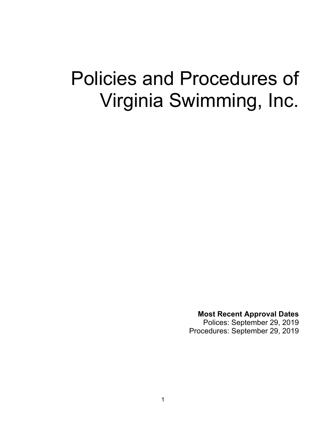# Policies and Procedures of Virginia Swimming, Inc.

**Most Recent Approval Dates**

Polices: September 29, 2019 Procedures: September 29, 2019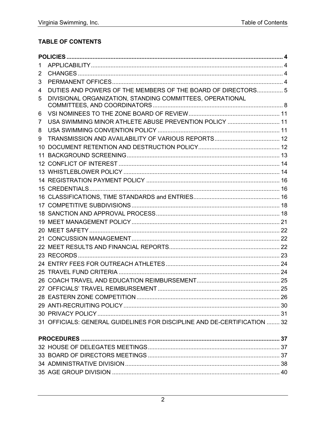### TABLE OF CONTENTS

| 1   |                                                                          |  |
|-----|--------------------------------------------------------------------------|--|
| 2   |                                                                          |  |
| 3   |                                                                          |  |
| 4   | DUTIES AND POWERS OF THE MEMBERS OF THE BOARD OF DIRECTORS 5             |  |
| 5   | DIVISIONAL ORGANIZATION, STANDING COMMITTEES, OPERATIONAL                |  |
| 6   |                                                                          |  |
| 7   | USA SWIMMING MINOR ATHLETE ABUSE PREVENTION POLICY  11                   |  |
| 8   |                                                                          |  |
| 9   |                                                                          |  |
| 10. |                                                                          |  |
|     |                                                                          |  |
|     |                                                                          |  |
|     |                                                                          |  |
|     |                                                                          |  |
|     |                                                                          |  |
|     |                                                                          |  |
|     |                                                                          |  |
|     |                                                                          |  |
|     |                                                                          |  |
|     |                                                                          |  |
|     |                                                                          |  |
|     |                                                                          |  |
|     |                                                                          |  |
|     |                                                                          |  |
|     |                                                                          |  |
|     |                                                                          |  |
|     |                                                                          |  |
|     |                                                                          |  |
|     |                                                                          |  |
|     |                                                                          |  |
|     | 31 OFFICIALS: GENERAL GUIDELINES FOR DISCIPLINE AND DE-CERTIFICATION  32 |  |
|     |                                                                          |  |
|     |                                                                          |  |
|     |                                                                          |  |
|     |                                                                          |  |
|     |                                                                          |  |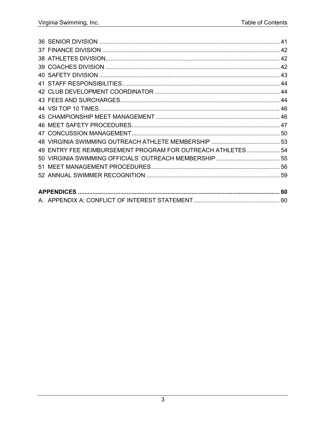| 49 ENTRY FEE REIMBURSEMENT PROGRAM FOR OUTREACH ATHLETES  54 |  |
|--------------------------------------------------------------|--|
|                                                              |  |
|                                                              |  |
|                                                              |  |
|                                                              |  |
|                                                              |  |
|                                                              |  |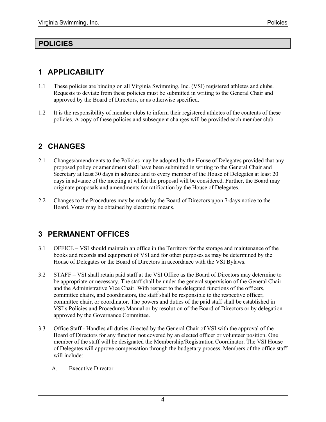### **POLICIES**

# **1 APPLICABILITY**

- 1.1 These policies are binding on all Virginia Swimming, Inc. (VSI) registered athletes and clubs. Requests to deviate from these policies must be submitted in writing to the General Chair and approved by the Board of Directors, or as otherwise specified.
- 1.2 It is the responsibility of member clubs to inform their registered athletes of the contents of these policies. A copy of these policies and subsequent changes will be provided each member club.

# **2 CHANGES**

- 2.1 Changes/amendments to the Policies may be adopted by the House of Delegates provided that any proposed policy or amendment shall have been submitted in writing to the General Chair and Secretary at least 30 days in advance and to every member of the House of Delegates at least 20 days in advance of the meeting at which the proposal will be considered. Further, the Board may originate proposals and amendments for ratification by the House of Delegates.
- 2.2 Changes to the Procedures may be made by the Board of Directors upon 7-days notice to the Board. Votes may be obtained by electronic means.

# **3 PERMANENT OFFICES**

- 3.1 OFFICE VSI should maintain an office in the Territory for the storage and maintenance of the books and records and equipment of VSI and for other purposes as may be determined by the House of Delegates or the Board of Directors in accordance with the VSI Bylaws.
- 3.2 STAFF VSI shall retain paid staff at the VSI Office as the Board of Directors may determine to be appropriate or necessary. The staff shall be under the general supervision of the General Chair and the Administrative Vice Chair. With respect to the delegated functions of the officers, committee chairs, and coordinators, the staff shall be responsible to the respective officer, committee chair, or coordinator. The powers and duties of the paid staff shall be established in VSI's Policies and Procedures Manual or by resolution of the Board of Directors or by delegation approved by the Governance Committee.
- 3.3 Office Staff Handles all duties directed by the General Chair of VSI with the approval of the Board of Directors for any function not covered by an elected officer or volunteer position. One member of the staff will be designated the Membership/Registration Coordinator. The VSI House of Delegates will approve compensation through the budgetary process. Members of the office staff will include:
	- A. Executive Director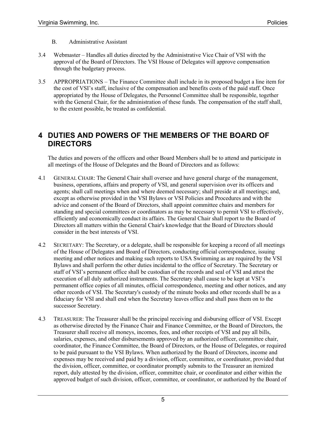- B. Administrative Assistant
- 3.4 Webmaster Handles all duties directed by the Administrative Vice Chair of VSI with the approval of the Board of Directors. The VSI House of Delegates will approve compensation through the budgetary process.
- 3.5 APPROPRIATIONS The Finance Committee shall include in its proposed budget a line item for the cost of VSI's staff, inclusive of the compensation and benefits costs of the paid staff. Once appropriated by the House of Delegates, the Personnel Committee shall be responsible, together with the General Chair, for the administration of these funds. The compensation of the staff shall, to the extent possible, be treated as confidential.

### **4 DUTIES AND POWERS OF THE MEMBERS OF THE BOARD OF DIRECTORS**

The duties and powers of the officers and other Board Members shall be to attend and participate in all meetings of the House of Delegates and the Board of Directors and as follows:

- 4.1 GENERAL CHAIR: The General Chair shall oversee and have general charge of the management, business, operations, affairs and property of VSI, and general supervision over its officers and agents; shall call meetings when and where deemed necessary; shall preside at all meetings; and, except as otherwise provided in the VSI Bylaws or VSI Policies and Procedures and with the advice and consent of the Board of Directors, shall appoint committee chairs and members for standing and special committees or coordinators as may be necessary to permit VSI to effectively, efficiently and economically conduct its affairs. The General Chair shall report to the Board of Directors all matters within the General Chair's knowledge that the Board of Directors should consider in the best interests of VSI.
- 4.2 SECRETARY: The Secretary, or a delegate, shall be responsible for keeping a record of all meetings of the House of Delegates and Board of Directors, conducting official correspondence, issuing meeting and other notices and making such reports to USA Swimming as are required by the VSI Bylaws and shall perform the other duties incidental to the office of Secretary. The Secretary or staff of VSI's permanent office shall be custodian of the records and seal of VSI and attest the execution of all duly authorized instruments. The Secretary shall cause to be kept at VSI's permanent office copies of all minutes, official correspondence, meeting and other notices, and any other records of VSI. The Secretary's custody of the minute books and other records shall be as a fiduciary for VSI and shall end when the Secretary leaves office and shall pass them on to the successor Secretary.
- 4.3 TREASURER: The Treasurer shall be the principal receiving and disbursing officer of VSI. Except as otherwise directed by the Finance Chair and Finance Committee, or the Board of Directors, the Treasurer shall receive all moneys, incomes, fees, and other receipts of VSI and pay all bills, salaries, expenses, and other disbursements approved by an authorized officer, committee chair, coordinator, the Finance Committee, the Board of Directors, or the House of Delegates, or required to be paid pursuant to the VSI Bylaws. When authorized by the Board of Directors, income and expenses may be received and paid by a division, officer, committee, or coordinator, provided that the division, officer, committee, or coordinator promptly submits to the Treasurer an itemized report, duly attested by the division, officer, committee chair, or coordinator and either within the approved budget of such division, officer, committee, or coordinator, or authorized by the Board of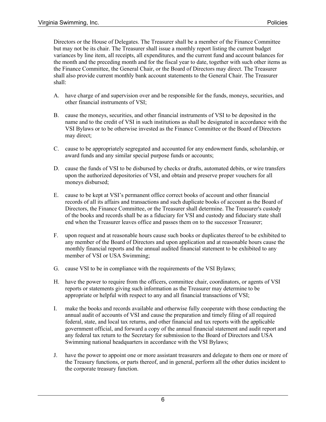Directors or the House of Delegates. The Treasurer shall be a member of the Finance Committee but may not be its chair. The Treasurer shall issue a monthly report listing the current budget variances by line item, all receipts, all expenditures, and the current fund and account balances for the month and the preceding month and for the fiscal year to date, together with such other items as the Finance Committee, the General Chair, or the Board of Directors may direct. The Treasurer shall also provide current monthly bank account statements to the General Chair. The Treasurer shall:

- A. have charge of and supervision over and be responsible for the funds, moneys, securities, and other financial instruments of VSI;
- B. cause the moneys, securities, and other financial instruments of VSI to be deposited in the name and to the credit of VSI in such institutions as shall be designated in accordance with the VSI Bylaws or to be otherwise invested as the Finance Committee or the Board of Directors may direct;
- C. cause to be appropriately segregated and accounted for any endowment funds, scholarship, or award funds and any similar special purpose funds or accounts;
- D. cause the funds of VSI to be disbursed by checks or drafts, automated debits, or wire transfers upon the authorized depositories of VSI, and obtain and preserve proper vouchers for all moneys disbursed;
- E. cause to be kept at VSI's permanent office correct books of account and other financial records of all its affairs and transactions and such duplicate books of account as the Board of Directors, the Finance Committee, or the Treasurer shall determine. The Treasurer's custody of the books and records shall be as a fiduciary for VSI and custody and fiduciary state shall end when the Treasurer leaves office and passes them on to the successor Treasurer;
- F. upon request and at reasonable hours cause such books or duplicates thereof to be exhibited to any member of the Board of Directors and upon application and at reasonable hours cause the monthly financial reports and the annual audited financial statement to be exhibited to any member of VSI or USA Swimming;
- G. cause VSI to be in compliance with the requirements of the VSI Bylaws;
- H. have the power to require from the officers, committee chair, coordinators, or agents of VSI reports or statements giving such information as the Treasurer may determine to be appropriate or helpful with respect to any and all financial transactions of VSI;
- I. make the books and records available and otherwise fully cooperate with those conducting the annual audit of accounts of VSI and cause the preparation and timely filing of all required federal, state, and local tax returns, and other financial and tax reports with the applicable government official, and forward a copy of the annual financial statement and audit report and any federal tax return to the Secretary for submission to the Board of Directors and USA Swimming national headquarters in accordance with the VSI Bylaws;
- J. have the power to appoint one or more assistant treasurers and delegate to them one or more of the Treasury functions, or parts thereof, and in general, perform all the other duties incident to the corporate treasury function.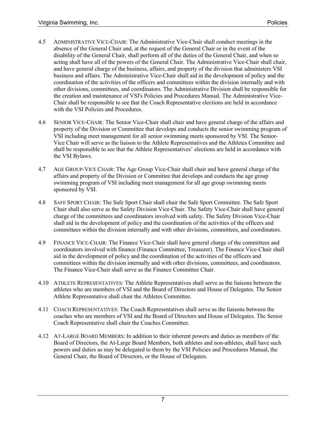- 4.5 ADMINISTRATIVE VICE-CHAIR: The Administrative Vice-Chair shall conduct meetings in the absence of the General Chair and, at the request of the General Chair or in the event of the disability of the General Chair, shall perform all of the duties of the General Chair, and when so acting shall have all of the powers of the General Chair. The Administrative Vice-Chair shall chair, and have general charge of the business, affairs, and property of the division that administers VSI business and affairs. The Administrative Vice-Chair shall aid in the development of policy and the coordination of the activities of the officers and committees within the division internally and with other divisions, committees, and coordinators. The Administrative Division shall be responsible for the creation and maintenance of VSI's Policies and Procedures Manual. The Administrative Vice-Chair shall be responsible to see that the Coach Representative elections are held in accordance with the VSI Policies and Procedures.
- 4.6 SENIOR VICE-CHAIR: The Senior Vice-Chair shall chair and have general charge of the affairs and property of the Division or Committee that develops and conducts the senior swimming program of VSI including meet management for all senior swimming meets sponsored by VSI. The Senior-Vice Chair will serve as the liaison to the Athlete Representatives and the Athletes Committee and shall be responsible to see that the Athlete Representatives' elections are held in accordance with the VSI Bylaws.
- 4.7 AGE GROUP-VICE CHAIR: The Age Group Vice-Chair shall chair and have general charge of the affairs and property of the Division or Committee that develops and conducts the age group swimming program of VSI including meet management for all age group swimming meets sponsored by VSI.
- 4.8 SAFE SPORT CHAIR: The Safe Sport Chair shall chair the Safe Sport Committee. The Safe Sport Chair shall also serve as the Safety Division Vice-Chair. The Safety Vice-Chair shall have general charge of the committees and coordinators involved with safety. The Safety Division Vice-Chair shall aid in the development of policy and the coordination of the activities of the officers and committees within the division internally and with other divisions, committees, and coordinators.
- 4.9 FINANCE VICE-CHAIR: The Finance Vice-Chair shall have general charge of the committees and coordinators involved with finance (Finance Committee, Treasurer). The Finance Vice-Chair shall aid in the development of policy and the coordination of the activities of the officers and committees within the division internally and with other divisions, committees, and coordinators. The Finance Vice-Chair shall serve as the Finance Committee Chair.
- 4.10 ATHLETE REPRESENTATIVES: The Athlete Representatives shall serve as the liaisons between the athletes who are members of VSI and the Board of Directors and House of Delegates. The Senior Athlete Representative shall chair the Athletes Committee.
- 4.11 COACH REPRESENTATIVES: The Coach Representatives shall serve as the liaisons between the coaches who are members of VSI and the Board of Directors and House of Delegates. The Senior Coach Representative shall chair the Coaches Committee.
- 4.12 AT-LARGE BOARD MEMBERS: In addition to their inherent powers and duties as members of the Board of Directors, the At-Large Board Members, both athletes and non-athletes, shall have such powers and duties as may be delegated to them by the VSI Policies and Procedures Manual, the General Chair, the Board of Directors, or the House of Delegates.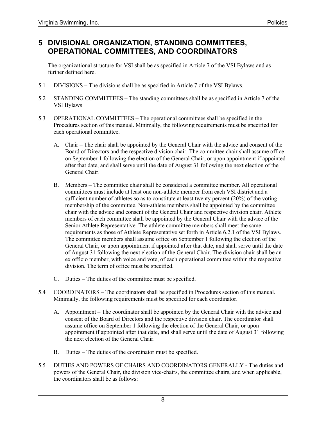### **5 DIVISIONAL ORGANIZATION, STANDING COMMITTEES, OPERATIONAL COMMITTEES, AND COORDINATORS**

The organizational structure for VSI shall be as specified in Article 7 of the VSI Bylaws and as further defined here.

- 5.1 DIVISIONS The divisions shall be as specified in Article 7 of the VSI Bylaws.
- 5.2 STANDING COMMITTEES The standing committees shall be as specified in Article 7 of the VSI Bylaws
- 5.3 OPERATIONAL COMMITTEES The operational committees shall be specified in the Procedures section of this manual. Minimally, the following requirements must be specified for each operational committee.
	- A. Chair The chair shall be appointed by the General Chair with the advice and consent of the Board of Directors and the respective division chair. The committee chair shall assume office on September 1 following the election of the General Chair, or upon appointment if appointed after that date, and shall serve until the date of August 31 following the next election of the General Chair.
	- B. Members The committee chair shall be considered a committee member. All operational committees must include at least one non-athlete member from each VSI district and a sufficient number of athletes so as to constitute at least twenty percent (20%) of the voting membership of the committee. Non-athlete members shall be appointed by the committee chair with the advice and consent of the General Chair and respective division chair. Athlete members of each committee shall be appointed by the General Chair with the advice of the Senior Athlete Representative. The athlete committee members shall meet the same requirements as those of Athlete Representative set forth in Article 6.2.1 of the VSI Bylaws. The committee members shall assume office on September 1 following the election of the General Chair, or upon appointment if appointed after that date, and shall serve until the date of August 31 following the next election of the General Chair. The division chair shall be an ex officio member, with voice and vote, of each operational committee within the respective division. The term of office must be specified.
	- C. Duties The duties of the committee must be specified.
- 5.4 COORDINATORS The coordinators shall be specified in Procedures section of this manual. Minimally, the following requirements must be specified for each coordinator.
	- A. Appointment The coordinator shall be appointed by the General Chair with the advice and consent of the Board of Directors and the respective division chair. The coordinator shall assume office on September 1 following the election of the General Chair, or upon appointment if appointed after that date, and shall serve until the date of August 31 following the next election of the General Chair.
	- B. Duties The duties of the coordinator must be specified.
- 5.5 DUTIES AND POWERS OF CHAIRS AND COORDINATORS GENERALLY The duties and powers of the General Chair, the division vice-chairs, the committee chairs, and when applicable, the coordinators shall be as follows: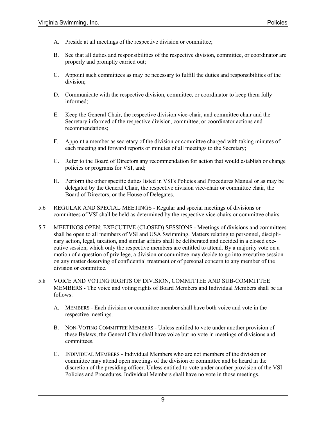- A. Preside at all meetings of the respective division or committee;
- B. See that all duties and responsibilities of the respective division, committee, or coordinator are properly and promptly carried out;
- C. Appoint such committees as may be necessary to fulfill the duties and responsibilities of the division;
- D. Communicate with the respective division, committee, or coordinator to keep them fully informed;
- E. Keep the General Chair, the respective division vice-chair, and committee chair and the Secretary informed of the respective division, committee, or coordinator actions and recommendations;
- F. Appoint a member as secretary of the division or committee charged with taking minutes of each meeting and forward reports or minutes of all meetings to the Secretary;
- G. Refer to the Board of Directors any recommendation for action that would establish or change policies or programs for VSI, and;
- H. Perform the other specific duties listed in VSI's Policies and Procedures Manual or as may be delegated by the General Chair, the respective division vice-chair or committee chair, the Board of Directors, or the House of Delegates.
- 5.6 REGULAR AND SPECIAL MEETINGS Regular and special meetings of divisions or committees of VSI shall be held as determined by the respective vice-chairs or committee chairs.
- 5.7 MEETINGS OPEN; EXECUTIVE (CLOSED) SESSIONS Meetings of divisions and committees shall be open to all members of VSI and USA Swimming. Matters relating to personnel, disciplinary action, legal, taxation, and similar affairs shall be deliberated and decided in a closed executive session, which only the respective members are entitled to attend. By a majority vote on a motion of a question of privilege, a division or committee may decide to go into executive session on any matter deserving of confidential treatment or of personal concern to any member of the division or committee.
- 5.8 VOICE AND VOTING RIGHTS OF DIVISION, COMMITTEE AND SUB-COMMITTEE MEMBERS - The voice and voting rights of Board Members and Individual Members shall be as follows:
	- A. MEMBERS Each division or committee member shall have both voice and vote in the respective meetings.
	- B. NON-VOTING COMMITTEE MEMBERS Unless entitled to vote under another provision of these Bylaws, the General Chair shall have voice but no vote in meetings of divisions and committees.
	- C. INDIVIDUAL MEMBERS Individual Members who are not members of the division or committee may attend open meetings of the division or committee and be heard in the discretion of the presiding officer. Unless entitled to vote under another provision of the VSI Policies and Procedures, Individual Members shall have no vote in those meetings.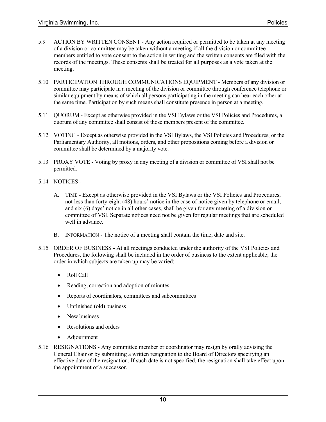- 5.9 ACTION BY WRITTEN CONSENT Any action required or permitted to be taken at any meeting of a division or committee may be taken without a meeting if all the division or committee members entitled to vote consent to the action in writing and the written consents are filed with the records of the meetings. These consents shall be treated for all purposes as a vote taken at the meeting.
- 5.10 PARTICIPATION THROUGH COMMUNICATIONS EQUIPMENT Members of any division or committee may participate in a meeting of the division or committee through conference telephone or similar equipment by means of which all persons participating in the meeting can hear each other at the same time. Participation by such means shall constitute presence in person at a meeting.
- 5.11 QUORUM Except as otherwise provided in the VSI Bylaws or the VSI Policies and Procedures, a quorum of any committee shall consist of those members present of the committee.
- 5.12 VOTING Except as otherwise provided in the VSI Bylaws, the VSI Policies and Procedures, or the Parliamentary Authority, all motions, orders, and other propositions coming before a division or committee shall be determined by a majority vote.
- 5.13 PROXY VOTE Voting by proxy in any meeting of a division or committee of VSI shall not be permitted.
- 5.14 NOTICES
	- A. TIME Except as otherwise provided in the VSI Bylaws or the VSI Policies and Procedures, not less than forty-eight (48) hours' notice in the case of notice given by telephone or email, and six (6) days' notice in all other cases, shall be given for any meeting of a division or committee of VSI. Separate notices need not be given for regular meetings that are scheduled well in advance.
	- B. INFORMATION The notice of a meeting shall contain the time, date and site.
- 5.15 ORDER OF BUSINESS At all meetings conducted under the authority of the VSI Policies and Procedures, the following shall be included in the order of business to the extent applicable; the order in which subjects are taken up may be varied:
	- Roll Call
	- Reading, correction and adoption of minutes
	- Reports of coordinators, committees and subcommittees
	- Unfinished (old) business
	- New business
	- Resolutions and orders
	- Adjournment
- 5.16 RESIGNATIONS Any committee member or coordinator may resign by orally advising the General Chair or by submitting a written resignation to the Board of Directors specifying an effective date of the resignation. If such date is not specified, the resignation shall take effect upon the appointment of a successor.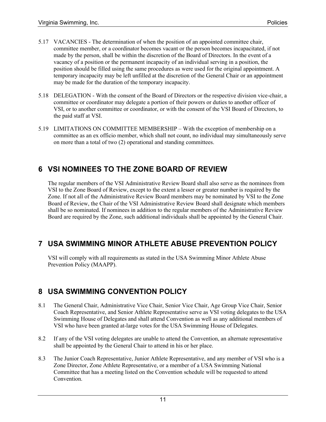- 5.17 VACANCIES The determination of when the position of an appointed committee chair, committee member, or a coordinator becomes vacant or the person becomes incapacitated, if not made by the person, shall be within the discretion of the Board of Directors. In the event of a vacancy of a position or the permanent incapacity of an individual serving in a position, the position should be filled using the same procedures as were used for the original appointment. A temporary incapacity may be left unfilled at the discretion of the General Chair or an appointment may be made for the duration of the temporary incapacity.
- 5.18 DELEGATION With the consent of the Board of Directors or the respective division vice-chair, a committee or coordinator may delegate a portion of their powers or duties to another officer of VSI, or to another committee or coordinator, or with the consent of the VSI Board of Directors, to the paid staff at VSI.
- 5.19 LIMITATIONS ON COMMITTEE MEMBERSHIP With the exception of membership on a committee as an ex officio member, which shall not count, no individual may simultaneously serve on more than a total of two (2) operational and standing committees.

# **6 VSI NOMINEES TO THE ZONE BOARD OF REVIEW**

The regular members of the VSI Administrative Review Board shall also serve as the nominees from VSI to the Zone Board of Review, except to the extent a lesser or greater number is required by the Zone. If not all of the Administrative Review Board members may be nominated by VSI to the Zone Board of Review, the Chair of the VSI Administrative Review Board shall designate which members shall be so nominated. If nominees in addition to the regular members of the Administrative Review Board are required by the Zone, such additional individuals shall be appointed by the General Chair.

# **7 USA SWIMMING MINOR ATHLETE ABUSE PREVENTION POLICY**

VSI will comply with all requirements as stated in the USA Swimming Minor Athlete Abuse Prevention Policy (MAAPP).

### **8 USA SWIMMING CONVENTION POLICY**

- 8.1 The General Chair, Administrative Vice Chair, Senior Vice Chair, Age Group Vice Chair, Senior Coach Representative, and Senior Athlete Representative serve as VSI voting delegates to the USA Swimming House of Delegates and shall attend Convention as well as any additional members of VSI who have been granted at-large votes for the USA Swimming House of Delegates.
- 8.2 If any of the VSI voting delegates are unable to attend the Convention, an alternate representative shall be appointed by the General Chair to attend in his or her place.
- 8.3 The Junior Coach Representative, Junior Athlete Representative, and any member of VSI who is a Zone Director, Zone Athlete Representative, or a member of a USA Swimming National Committee that has a meeting listed on the Convention schedule will be requested to attend Convention.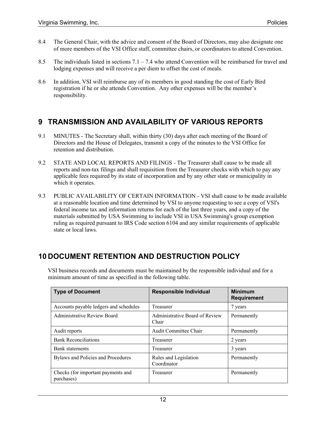- 8.4 The General Chair, with the advice and consent of the Board of Directors, may also designate one of more members of the VSI Office staff, committee chairs, or coordinators to attend Convention.
- 8.5 The individuals listed in sections  $7.1 7.4$  who attend Convention will be reimbursed for travel and lodging expenses and will receive a per diem to offset the cost of meals.
- 8.6 In addition, VSI will reimburse any of its members in good standing the cost of Early Bird registration if he or she attends Convention. Any other expenses will be the member's responsibility.

# **9 TRANSMISSION AND AVAILABILITY OF VARIOUS REPORTS**

- 9.1 MINUTES The Secretary shall, within thirty (30) days after each meeting of the Board of Directors and the House of Delegates, transmit a copy of the minutes to the VSI Office for retention and distribution.
- 9.2 STATE AND LOCAL REPORTS AND FILINGS The Treasurer shall cause to be made all reports and non-tax filings and shall requisition from the Treasurer checks with which to pay any applicable fees required by its state of incorporation and by any other state or municipality in which it operates.
- 9.3 PUBLIC AVAILABILITY OF CERTAIN INFORMATION VSI shall cause to be made available at a reasonable location and time determined by VSI to anyone requesting to see a copy of VSI's federal income tax and information returns for each of the last three years, and a copy of the materials submitted by USA Swimming to include VSI in USA Swimming's group exemption ruling as required pursuant to IRS Code section 6104 and any similar requirements of applicable state or local laws.

# **10 DOCUMENT RETENTION AND DESTRUCTION POLICY**

| <b>Type of Document</b>                          | <b>Responsible Individual</b>           | <b>Minimum</b><br><b>Requirement</b> |  |
|--------------------------------------------------|-----------------------------------------|--------------------------------------|--|
| Accounts payable ledgers and schedules           | Treasurer                               | 7 years                              |  |
| Administrative Review Board                      | Administrative Board of Review<br>Chair | Permanently                          |  |
| Audit reports                                    | Audit Committee Chair                   | Permanently                          |  |
| <b>Bank Reconciliations</b>                      | Treasurer                               | 2 years                              |  |
| Bank statements                                  | Treasurer                               | 3 years                              |  |
| Bylaws and Policies and Procedures               | Rules and Legislation<br>Coordinator    | Permanently                          |  |
| Checks (for important payments and<br>purchases) | Treasurer                               | Permanently                          |  |

VSI business records and documents must be maintained by the responsible individual and for a minimum amount of time as specified in the following table.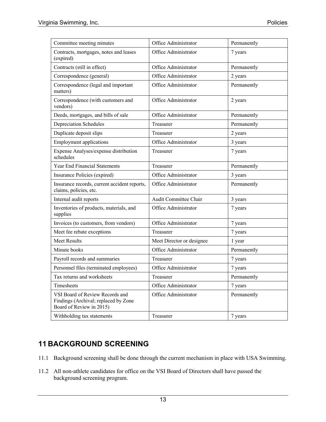| Committee meeting minutes                                                                           | Office Administrator      | Permanently |
|-----------------------------------------------------------------------------------------------------|---------------------------|-------------|
| Contracts, mortgages, notes and leases<br>(expired)                                                 | Office Administrator      | 7 years     |
| Contracts (still in effect)                                                                         | Office Administrator      | Permanently |
| Correspondence (general)                                                                            | Office Administrator      | 2 years     |
| Correspondence (legal and important<br>matters)                                                     | Office Administrator      | Permanently |
| Correspondence (with customers and<br>vendors)                                                      | Office Administrator      | 2 years     |
| Deeds, mortgages, and bills of sale                                                                 | Office Administrator      | Permanently |
| Depreciation Schedules                                                                              | Treasurer                 | Permanently |
| Duplicate deposit slips                                                                             | Treasurer                 | 2 years     |
| <b>Employment applications</b>                                                                      | Office Administrator      | 3 years     |
| Expense Analyses/expense distribution<br>schedules                                                  | Treasurer                 | 7 years     |
| <b>Year End Financial Statements</b>                                                                | Treasurer                 | Permanently |
| Insurance Policies (expired)                                                                        | Office Administrator      | 3 years     |
| Insurance records, current accident reports,<br>claims, policies, etc.                              | Office Administrator      | Permanently |
| Internal audit reports                                                                              | Audit Committee Chair     | 3 years     |
| Inventories of products, materials, and<br>supplies                                                 | Office Administrator      | 7 years     |
| Invoices (to customers, from vendors)                                                               | Office Administrator      | 7 years     |
| Meet fee rebate exceptions                                                                          | Treasurer                 | 7 years     |
| <b>Meet Results</b>                                                                                 | Meet Director or designee | 1 year      |
| Minute books                                                                                        | Office Administrator      | Permanently |
| Payroll records and summaries                                                                       | Treasurer                 | 7 years     |
| Personnel files (terminated employees)                                                              | Office Administrator      | 7 years     |
| Tax returns and worksheets                                                                          | Treasurer                 | Permanently |
| Timesheets                                                                                          | Office Administrator      | 7 years     |
| VSI Board of Review Records and<br>Findings (Archival; replaced by Zone<br>Board of Review in 2015) | Office Administrator      | Permanently |
| Withholding tax statements                                                                          | Treasurer                 | 7 years     |

# **11 BACKGROUND SCREENING**

- 11.1 Background screening shall be done through the current mechanism in place with USA Swimming.
- 11.2 All non-athlete candidates for office on the VSI Board of Directors shall have passed the background screening program.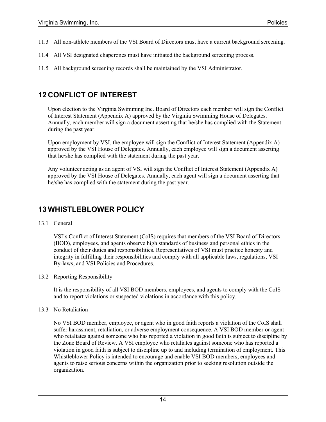- 11.3 All non-athlete members of the VSI Board of Directors must have a current background screening.
- 11.4 All VSI designated chaperones must have initiated the background screening process.
- 11.5 All background screening records shall be maintained by the VSI Administrator.

### **12 CONFLICT OF INTEREST**

Upon election to the Virginia Swimming Inc. Board of Directors each member will sign the Conflict of Interest Statement (Appendix A) approved by the Virginia Swimming House of Delegates. Annually, each member will sign a document asserting that he/she has complied with the Statement during the past year.

Upon employment by VSI, the employee will sign the Conflict of Interest Statement (Appendix A) approved by the VSI House of Delegates. Annually, each employee will sign a document asserting that he/she has complied with the statement during the past year.

Any volunteer acting as an agent of VSI will sign the Conflict of Interest Statement (Appendix A) approved by the VSI House of Delegates. Annually, each agent will sign a document asserting that he/she has complied with the statement during the past year.

# **13 WHISTLEBLOWER POLICY**

### 13.1 General

VSI's Conflict of Interest Statement (CoIS) requires that members of the VSI Board of Directors (BOD), employees, and agents observe high standards of business and personal ethics in the conduct of their duties and responsibilities. Representatives of VSI must practice honesty and integrity in fulfilling their responsibilities and comply with all applicable laws, regulations, VSI By-laws, and VSI Policies and Procedures.

### 13.2 Reporting Responsibility

It is the responsibility of all VSI BOD members, employees, and agents to comply with the CoIS and to report violations or suspected violations in accordance with this policy.

#### 13.3 No Retaliation

No VSI BOD member, employee, or agent who in good faith reports a violation of the CoIS shall suffer harassment, retaliation, or adverse employment consequence. A VSI BOD member or agent who retaliates against someone who has reported a violation in good faith is subject to discipline by the Zone Board of Review. A VSI employee who retaliates against someone who has reported a violation in good faith is subject to discipline up to and including termination of employment. This Whistleblower Policy is intended to encourage and enable VSI BOD members, employees and agents to raise serious concerns within the organization prior to seeking resolution outside the organization.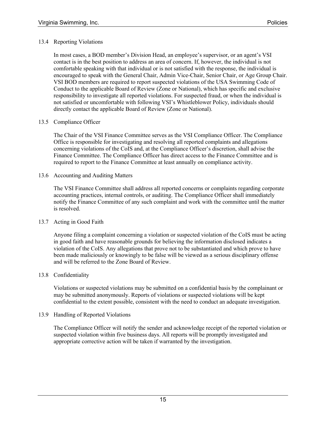### 13.4 Reporting Violations

In most cases, a BOD member's Division Head, an employee's supervisor, or an agent's VSI contact is in the best position to address an area of concern. If, however, the individual is not comfortable speaking with that individual or is not satisfied with the response, the individual is encouraged to speak with the General Chair, Admin Vice-Chair, Senior Chair, or Age Group Chair. VSI BOD members are required to report suspected violations of the USA Swimming Code of Conduct to the applicable Board of Review (Zone or National), which has specific and exclusive responsibility to investigate all reported violations. For suspected fraud, or when the individual is not satisfied or uncomfortable with following VSI's Whistleblower Policy, individuals should directly contact the applicable Board of Review (Zone or National).

### 13.5 Compliance Officer

The Chair of the VSI Finance Committee serves as the VSI Compliance Officer. The Compliance Office is responsible for investigating and resolving all reported complaints and allegations concerning violations of the CoIS and, at the Compliance Officer's discretion, shall advise the Finance Committee. The Compliance Officer has direct access to the Finance Committee and is required to report to the Finance Committee at least annually on compliance activity.

### 13.6 Accounting and Auditing Matters

The VSI Finance Committee shall address all reported concerns or complaints regarding corporate accounting practices, internal controls, or auditing. The Compliance Officer shall immediately notify the Finance Committee of any such complaint and work with the committee until the matter is resolved.

### 13.7 Acting in Good Faith

Anyone filing a complaint concerning a violation or suspected violation of the CoIS must be acting in good faith and have reasonable grounds for believing the information disclosed indicates a violation of the CoIS. Any allegations that prove not to be substantiated and which prove to have been made maliciously or knowingly to be false will be viewed as a serious disciplinary offense and will be referred to the Zone Board of Review.

### 13.8 Confidentiality

Violations or suspected violations may be submitted on a confidential basis by the complainant or may be submitted anonymously. Reports of violations or suspected violations will be kept confidential to the extent possible, consistent with the need to conduct an adequate investigation.

### 13.9 Handling of Reported Violations

The Compliance Officer will notify the sender and acknowledge receipt of the reported violation or suspected violation within five business days. All reports will be promptly investigated and appropriate corrective action will be taken if warranted by the investigation.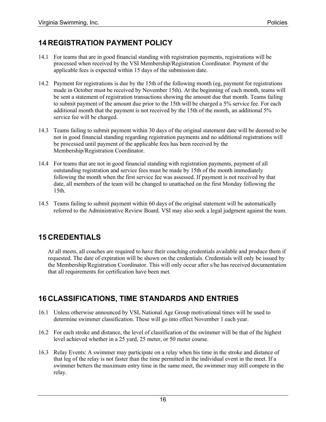# **14 REGISTRATION PAYMENT POLICY**

- 14.1 For teams that are in good financial standing with registration payments, registrations will be processed when received by the VSI Membership/Registration Coordinator. Payment of the applicable fees is expected within 15 days of the submission date.
- 14.2 Payment for registrations is due by the 15th of the following month (eg, payment for registrations made in October must be received by November 15th). At the beginning of each month, teams will be sent a statement of registration transactions showing the amount due that month. Teams failing to submit payment of the amount due prior to the 15th will be charged a 5% service fee. For each additional month that the payment is not received by the 15th of the month, an additional 5% service fee will be charged.
- 14.3 Teams failing to submit payment within 30 days of the original statement date will be deemed to be not in good financial standing regarding registration payments and no additional registrations will be processed until payment of the applicable fees has been received by the Membership/Registration Coordinator.
- 14.4 For teams that are not in good financial standing with registration payments, payment of all outstanding registration and service fees must be made by 15th of the month immediately following the month when the first service fee was assessed. If payment is not received by that date, all members of the team will be changed to unattached on the first Monday following the 15th.
- 14.5 Teams failing to submit payment within 60 days of the original statement will be automatically referred to the Administrative Review Board. VSI may also seek a legal judgment against the team.

# **15 CREDENTIALS**

At all meets, all coaches are required to have their coaching credentials available and produce them if requested. The date of expiration will be shown on the credentials. Credentials will only be issued by the Membership/Registration Coordinator. This will only occur after s/he has received documentation that all requirements for certification have been met.

# **16 CLASSIFICATIONS, TIME STANDARDS AND ENTRIES**

- 16.1 Unless otherwise announced by VSI, National Age Group motivational times will be used to determine swimmer classification. These will go into effect November 1 each year.
- 16.2 For each stroke and distance, the level of classification of the swimmer will be that of the highest level achieved whether in a 25 yard, 25 meter, or 50 meter course.
- 16.3 Relay Events: A swimmer may participate on a relay when his time in the stroke and distance of that leg of the relay is not faster than the time permitted in the individual event in the meet. If a swimmer betters the maximum entry time in the same meet, the swimmer may still compete in the relay.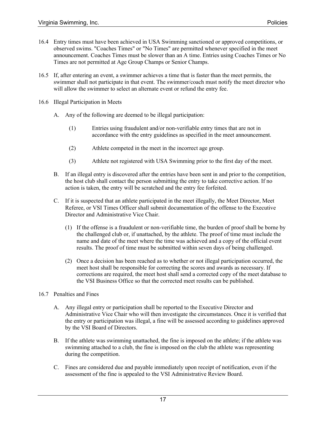- 16.4 Entry times must have been achieved in USA Swimming sanctioned or approved competitions, or observed swims. "Coaches Times" or "No Times" are permitted whenever specified in the meet announcement. Coaches Times must be slower than an A time. Entries using Coaches Times or No Times are not permitted at Age Group Champs or Senior Champs.
- 16.5 If, after entering an event, a swimmer achieves a time that is faster than the meet permits, the swimmer shall not participate in that event. The swimmer/coach must notify the meet director who will allow the swimmer to select an alternate event or refund the entry fee.
- 16.6 Illegal Participation in Meets
	- A. Any of the following are deemed to be illegal participation:
		- (1) Entries using fraudulent and/or non-verifiable entry times that are not in accordance with the entry guidelines as specified in the meet announcement.
		- (2) Athlete competed in the meet in the incorrect age group.
		- (3) Athlete not registered with USA Swimming prior to the first day of the meet.
	- B. If an illegal entry is discovered after the entries have been sent in and prior to the competition, the host club shall contact the person submitting the entry to take corrective action. If no action is taken, the entry will be scratched and the entry fee forfeited.
	- C. If it is suspected that an athlete participated in the meet illegally, the Meet Director, Meet Referee, or VSI Times Officer shall submit documentation of the offense to the Executive Director and Administrative Vice Chair.
		- (1) If the offense is a fraudulent or non-verifiable time, the burden of proof shall be borne by the challenged club or, if unattached, by the athlete. The proof of time must include the name and date of the meet where the time was achieved and a copy of the official event results. The proof of time must be submitted within seven days of being challenged.
		- (2) Once a decision has been reached as to whether or not illegal participation occurred, the meet host shall be responsible for correcting the scores and awards as necessary. If corrections are required, the meet host shall send a corrected copy of the meet database to the VSI Business Office so that the corrected meet results can be published.
- 16.7 Penalties and Fines
	- A. Any illegal entry or participation shall be reported to the Executive Director and Administrative Vice Chair who will then investigate the circumstances. Once it is verified that the entry or participation was illegal, a fine will be assessed according to guidelines approved by the VSI Board of Directors.
	- B. If the athlete was swimming unattached, the fine is imposed on the athlete; if the athlete was swimming attached to a club, the fine is imposed on the club the athlete was representing during the competition.
	- C. Fines are considered due and payable immediately upon receipt of notification, even if the assessment of the fine is appealed to the VSI Administrative Review Board.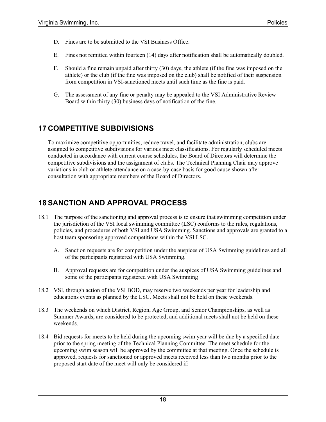- D. Fines are to be submitted to the VSI Business Office.
- E. Fines not remitted within fourteen (14) days after notification shall be automatically doubled.
- F. Should a fine remain unpaid after thirty (30) days, the athlete (if the fine was imposed on the athlete) or the club (if the fine was imposed on the club) shall be notified of their suspension from competition in VSI-sanctioned meets until such time as the fine is paid.
- G. The assessment of any fine or penalty may be appealed to the VSI Administrative Review Board within thirty (30) business days of notification of the fine.

# **17 COMPETITIVE SUBDIVISIONS**

To maximize competitive opportunities, reduce travel, and facilitate administration, clubs are assigned to competitive subdivisions for various meet classifications. For regularly scheduled meets conducted in accordance with current course schedules, the Board of Directors will determine the competitive subdivisions and the assignment of clubs. The Technical Planning Chair may approve variations in club or athlete attendance on a case-by-case basis for good cause shown after consultation with appropriate members of the Board of Directors.

# **18 SANCTION AND APPROVAL PROCESS**

- 18.1 The purpose of the sanctioning and approval process is to ensure that swimming competition under the jurisdiction of the VSI local swimming committee (LSC) conforms to the rules, regulations, policies, and procedures of both VSI and USA Swimming. Sanctions and approvals are granted to a host team sponsoring approved competitions within the VSI LSC.
	- A. Sanction requests are for competition under the auspices of USA Swimming guidelines and all of the participants registered with USA Swimming.
	- B. Approval requests are for competition under the auspices of USA Swimming guidelines and some of the participants registered with USA Swimming
- 18.2 VSI, through action of the VSI BOD, may reserve two weekends per year for leadership and educations events as planned by the LSC. Meets shall not be held on these weekends.
- 18.3 The weekends on which District, Region, Age Group, and Senior Championships, as well as Summer Awards, are considered to be protected, and additional meets shall not be held on these weekends.
- 18.4 Bid requests for meets to be held during the upcoming swim year will be due by a specified date prior to the spring meeting of the Technical Planning Committee. The meet schedule for the upcoming swim season will be approved by the committee at that meeting. Once the schedule is approved, requests for sanctioned or approved meets received less than two months prior to the proposed start date of the meet will only be considered if: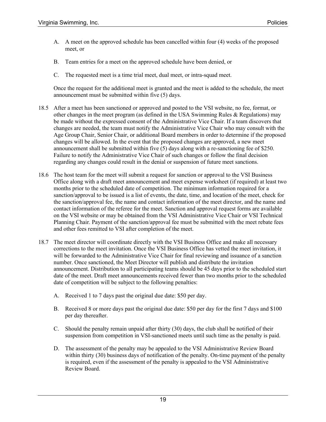- A. A meet on the approved schedule has been cancelled within four (4) weeks of the proposed meet, or
- B. Team entries for a meet on the approved schedule have been denied, or
- C. The requested meet is a time trial meet, dual meet, or intra-squad meet.

Once the request for the additional meet is granted and the meet is added to the schedule, the meet announcement must be submitted within five (5) days.

- 18.5 After a meet has been sanctioned or approved and posted to the VSI website, no fee, format, or other changes in the meet program (as defined in the USA Swimming Rules & Regulations) may be made without the expressed consent of the Administrative Vice Chair. If a team discovers that changes are needed, the team must notify the Administrative Vice Chair who may consult with the Age Group Chair, Senior Chair, or additional Board members in order to determine if the proposed changes will be allowed. In the event that the proposed changes are approved, a new meet announcement shall be submitted within five (5) days along with a re-sanctioning fee of \$250. Failure to notify the Administrative Vice Chair of such changes or follow the final decision regarding any changes could result in the denial or suspension of future meet sanctions.
- 18.6 The host team for the meet will submit a request for sanction or approval to the VSI Business Office along with a draft meet announcement and meet expense worksheet (if required) at least two months prior to the scheduled date of competition. The minimum information required for a sanction/approval to be issued is a list of events, the date, time, and location of the meet, check for the sanction/approval fee, the name and contact information of the meet director, and the name and contact information of the referee for the meet. Sanction and approval request forms are available on the VSI website or may be obtained from the VSI Administrative Vice Chair or VSI Technical Planning Chair. Payment of the sanction/approval fee must be submitted with the meet rebate fees and other fees remitted to VSI after completion of the meet.
- 18.7 The meet director will coordinate directly with the VSI Business Office and make all necessary corrections to the meet invitation. Once the VSI Business Office has vetted the meet invitation, it will be forwarded to the Administrative Vice Chair for final reviewing and issuance of a sanction number. Once sanctioned, the Meet Director will publish and distribute the invitation announcement. Distribution to all participating teams should be 45 days prior to the scheduled start date of the meet. Draft meet announcements received fewer than two months prior to the scheduled date of competition will be subject to the following penalties:
	- A. Received 1 to 7 days past the original due date: \$50 per day.
	- B. Received 8 or more days past the original due date: \$50 per day for the first 7 days and \$100 per day thereafter.
	- C. Should the penalty remain unpaid after thirty (30) days, the club shall be notified of their suspension from competition in VSI-sanctioned meets until such time as the penalty is paid.
	- D. The assessment of the penalty may be appealed to the VSI Administrative Review Board within thirty (30) business days of notification of the penalty. On-time payment of the penalty is required, even if the assessment of the penalty is appealed to the VSI Administrative Review Board.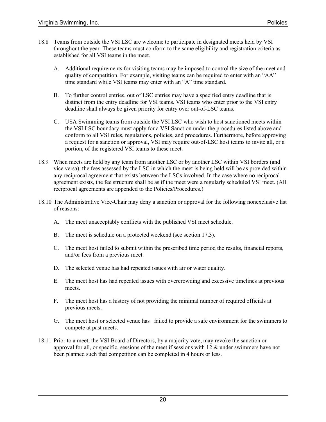- 18.8 Teams from outside the VSI LSC are welcome to participate in designated meets held by VSI throughout the year. These teams must conform to the same eligibility and registration criteria as established for all VSI teams in the meet.
	- A. Additional requirements for visiting teams may be imposed to control the size of the meet and quality of competition. For example, visiting teams can be required to enter with an "AA" time standard while VSI teams may enter with an "A" time standard.
	- B. To further control entries, out of LSC entries may have a specified entry deadline that is distinct from the entry deadline for VSI teams. VSI teams who enter prior to the VSI entry deadline shall always be given priority for entry over out-of-LSC teams.
	- C. USA Swimming teams from outside the VSI LSC who wish to host sanctioned meets within the VSI LSC boundary must apply for a VSI Sanction under the procedures listed above and conform to all VSI rules, regulations, policies, and procedures. Furthermore, before approving a request for a sanction or approval, VSI may require out-of-LSC host teams to invite all, or a portion, of the registered VSI teams to these meet.
- 18.9 When meets are held by any team from another LSC or by another LSC within VSI borders (and vice versa), the fees assessed by the LSC in which the meet is being held will be as provided within any reciprocal agreement that exists between the LSCs involved. In the case where no reciprocal agreement exists, the fee structure shall be as if the meet were a regularly scheduled VSI meet. (All reciprocal agreements are appended to the Policies/Procedures.)
- 18.10 The Administrative Vice-Chair may deny a sanction or approval for the following nonexclusive list of reasons:
	- A. The meet unacceptably conflicts with the published VSI meet schedule.
	- B. The meet is schedule on a protected weekend (see section 17.3).
	- C. The meet host failed to submit within the prescribed time period the results, financial reports, and/or fees from a previous meet.
	- D. The selected venue has had repeated issues with air or water quality.
	- E. The meet host has had repeated issues with overcrowding and excessive timelines at previous meets.
	- F. The meet host has a history of not providing the minimal number of required officials at previous meets.
	- G. The meet host or selected venue has failed to provide a safe environment for the swimmers to compete at past meets.
- 18.11 Prior to a meet, the VSI Board of Directors, by a majority vote, may revoke the sanction or approval for all, or specific, sessions of the meet if sessions with  $12 \&$  under swimmers have not been planned such that competition can be completed in 4 hours or less.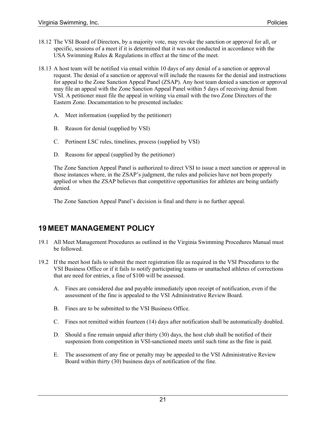- 18.12 The VSI Board of Directors, by a majority vote, may revoke the sanction or approval for all, or specific, sessions of a meet if it is determined that it was not conducted in accordance with the USA Swimming Rules & Regulations in effect at the time of the meet.
- 18.13 A host team will be notified via email within 10 days of any denial of a sanction or approval request. The denial of a sanction or approval will include the reasons for the denial and instructions for appeal to the Zone Sanction Appeal Panel (ZSAP). Any host team denied a sanction or approval may file an appeal with the Zone Sanction Appeal Panel within 5 days of receiving denial from VSI. A petitioner must file the appeal in writing via email with the two Zone Directors of the Eastern Zone. Documentation to be presented includes:
	- A. Meet information (supplied by the petitioner)
	- B. Reason for denial (supplied by VSI)
	- C. Pertinent LSC rules, timelines, process (supplied by VSI)
	- D. Reasons for appeal (supplied by the petitioner)

The Zone Sanction Appeal Panel is authorized to direct VSI to issue a meet sanction or approval in those instances where, in the ZSAP's judgment, the rules and policies have not been properly applied or when the ZSAP believes that competitive opportunities for athletes are being unfairly denied.

The Zone Sanction Appeal Panel's decision is final and there is no further appeal.

# **19 MEET MANAGEMENT POLICY**

- 19.1 All Meet Management Procedures as outlined in the Virginia Swimming Procedures Manual must be followed.
- 19.2 If the meet host fails to submit the meet registration file as required in the VSI Procedures to the VSI Business Office or if it fails to notify participating teams or unattached athletes of corrections that are need for entries, a fine of \$100 will be assessed.
	- A. Fines are considered due and payable immediately upon receipt of notification, even if the assessment of the fine is appealed to the VSI Administrative Review Board.
	- B. Fines are to be submitted to the VSI Business Office.
	- C. Fines not remitted within fourteen (14) days after notification shall be automatically doubled.
	- D. Should a fine remain unpaid after thirty (30) days, the host club shall be notified of their suspension from competition in VSI-sanctioned meets until such time as the fine is paid.
	- E. The assessment of any fine or penalty may be appealed to the VSI Administrative Review Board within thirty (30) business days of notification of the fine.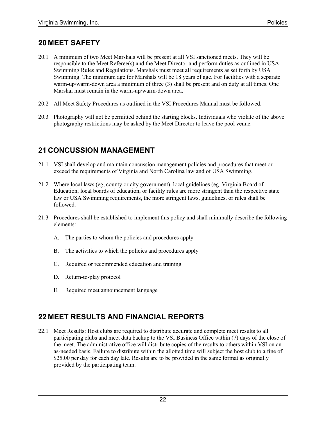### **20 MEET SAFETY**

- 20.1 A minimum of two Meet Marshals will be present at all VSI sanctioned meets. They will be responsible to the Meet Referee(s) and the Meet Director and perform duties as outlined in USA Swimming Rules and Regulations. Marshals must meet all requirements as set forth by USA Swimming. The minimum age for Marshals will be 18 years of age. For facilities with a separate warm-up/warm-down area a minimum of three (3) shall be present and on duty at all times. One Marshal must remain in the warm-up/warm-down area.
- 20.2 All Meet Safety Procedures as outlined in the VSI Procedures Manual must be followed.
- 20.3 Photography will not be permitted behind the starting blocks. Individuals who violate of the above photography restrictions may be asked by the Meet Director to leave the pool venue.

# **21 CONCUSSION MANAGEMENT**

- 21.1 VSI shall develop and maintain concussion management policies and procedures that meet or exceed the requirements of Virginia and North Carolina law and of USA Swimming.
- 21.2 Where local laws (eg, county or city government), local guidelines (eg, Virginia Board of Education, local boards of education, or facility rules are more stringent than the respective state law or USA Swimming requirements, the more stringent laws, guidelines, or rules shall be followed.
- 21.3 Procedures shall be established to implement this policy and shall minimally describe the following elements:
	- A. The parties to whom the policies and procedures apply
	- B. The activities to which the policies and procedures apply
	- C. Required or recommended education and training
	- D. Return-to-play protocol
	- E. Required meet announcement language

# **22 MEET RESULTS AND FINANCIAL REPORTS**

22.1 Meet Results: Host clubs are required to distribute accurate and complete meet results to all participating clubs and meet data backup to the VSI Business Office within (7) days of the close of the meet. The administrative office will distribute copies of the results to others within VSI on an as-needed basis. Failure to distribute within the allotted time will subject the host club to a fine of \$25.00 per day for each day late. Results are to be provided in the same format as originally provided by the participating team.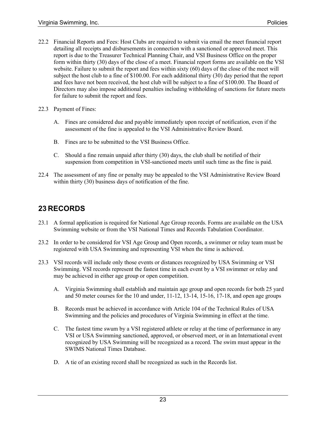- 22.2 Financial Reports and Fees: Host Clubs are required to submit via email the meet financial report detailing all receipts and disbursements in connection with a sanctioned or approved meet. This report is due to the Treasurer Technical Planning Chair, and VSI Business Office on the proper form within thirty (30) days of the close of a meet. Financial report forms are available on the VSI website. Failure to submit the report and fees within sixty (60) days of the close of the meet will subject the host club to a fine of \$100.00. For each additional thirty (30) day period that the report and fees have not been received, the host club will be subject to a fine of \$100.00. The Board of Directors may also impose additional penalties including withholding of sanctions for future meets for failure to submit the report and fees.
- 22.3 Payment of Fines:
	- A. Fines are considered due and payable immediately upon receipt of notification, even if the assessment of the fine is appealed to the VSI Administrative Review Board.
	- B. Fines are to be submitted to the VSI Business Office.
	- C. Should a fine remain unpaid after thirty (30) days, the club shall be notified of their suspension from competition in VSI-sanctioned meets until such time as the fine is paid.
- 22.4 The assessment of any fine or penalty may be appealed to the VSI Administrative Review Board within thirty (30) business days of notification of the fine.

# **23 RECORDS**

- 23.1 A formal application is required for National Age Group records. Forms are available on the USA Swimming website or from the VSI National Times and Records Tabulation Coordinator.
- 23.2 In order to be considered for VSI Age Group and Open records, a swimmer or relay team must be registered with USA Swimming and representing VSI when the time is achieved.
- 23.3 VSI records will include only those events or distances recognized by USA Swimming or VSI Swimming. VSI records represent the fastest time in each event by a VSI swimmer or relay and may be achieved in either age group or open competition.
	- A. Virginia Swimming shall establish and maintain age group and open records for both 25 yard and 50 meter courses for the 10 and under, 11-12, 13-14, 15-16, 17-18, and open age groups
	- B. Records must be achieved in accordance with Article 104 of the Technical Rules of USA Swimming and the policies and procedures of Virginia Swimming in effect at the time.
	- C. The fastest time swum by a VSI registered athlete or relay at the time of performance in any VSI or USA Swimming sanctioned, approved, or observed meet, or in an International event recognized by USA Swimming will be recognized as a record. The swim must appear in the SWIMS National Times Database.
	- D. A tie of an existing record shall be recognized as such in the Records list.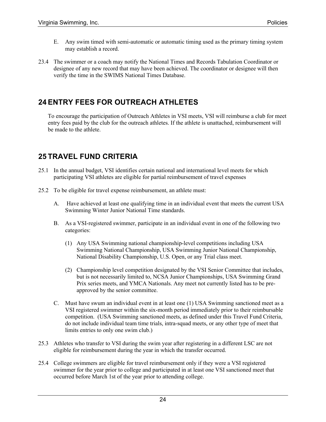- E. Any swim timed with semi-automatic or automatic timing used as the primary timing system may establish a record.
- 23.4 The swimmer or a coach may notify the National Times and Records Tabulation Coordinator or designee of any new record that may have been achieved. The coordinator or designee will then verify the time in the SWIMS National Times Database.

# **24 ENTRY FEES FOR OUTREACH ATHLETES**

To encourage the participation of Outreach Athletes in VSI meets, VSI will reimburse a club for meet entry fees paid by the club for the outreach athletes. If the athlete is unattached, reimbursement will be made to the athlete.

# **25 TRAVEL FUND CRITERIA**

- 25.1 In the annual budget, VSI identifies certain national and international level meets for which participating VSI athletes are eligible for partial reimbursement of travel expenses
- 25.2 To be eligible for travel expense reimbursement, an athlete must:
	- A. Have achieved at least one qualifying time in an individual event that meets the current USA Swimming Winter Junior National Time standards.
	- B. As a VSI-registered swimmer, participate in an individual event in one of the following two categories:
		- (1) Any USA Swimming national championship-level competitions including USA Swimming National Championship, USA Swimming Junior National Championship, National Disability Championship, U.S. Open, or any Trial class meet.
		- (2) Championship level competition designated by the VSI Senior Committee that includes, but is not necessarily limited to, NCSA Junior Championships, USA Swimming Grand Prix series meets, and YMCA Nationals. Any meet not currently listed has to be preapproved by the senior committee.
	- C. Must have swum an individual event in at least one (1) USA Swimming sanctioned meet as a VSI registered swimmer within the six-month period immediately prior to their reimbursable competition. (USA Swimming sanctioned meets, as defined under this Travel Fund Criteria, do not include individual team time trials, intra-squad meets, or any other type of meet that limits entries to only one swim club.)
- 25.3 Athletes who transfer to VSI during the swim year after registering in a different LSC are not eligible for reimbursement during the year in which the transfer occurred.
- 25.4 College swimmers are eligible for travel reimbursement only if they were a VSI registered swimmer for the year prior to college and participated in at least one VSI sanctioned meet that occurred before March 1st of the year prior to attending college.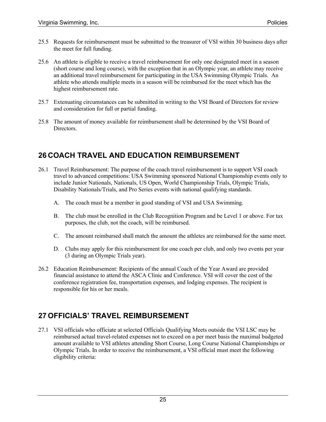- 25.5 Requests for reimbursement must be submitted to the treasurer of VSI within 30 business days after the meet for full funding.
- 25.6 An athlete is eligible to receive a travel reimbursement for only one designated meet in a season (short course and long course), with the exception that in an Olympic year, an athlete may receive an additional travel reimbursement for participating in the USA Swimming Olympic Trials. An athlete who attends multiple meets in a season will be reimbursed for the meet which has the highest reimbursement rate.
- 25.7 Extenuating circumstances can be submitted in writing to the VSI Board of Directors for review and consideration for full or partial funding.
- 25.8 The amount of money available for reimbursement shall be determined by the VSI Board of Directors.

# **26 COACH TRAVEL AND EDUCATION REIMBURSEMENT**

- 26.1 Travel Reimbursement: The purpose of the coach travel reimbursement is to support VSI coach travel to advanced competitions: USA Swimming sponsored National Championship events only to include Junior Nationals, Nationals, US Open, World Championship Trials, Olympic Trials, Disability Nationals/Trials, and Pro Series events with national qualifying standards.
	- A. The coach must be a member in good standing of VSI and USA Swimming.
	- B. The club must be enrolled in the Club Recognition Program and be Level 1 or above. For tax purposes, the club, not the coach, will be reimbursed.
	- C. The amount reimbursed shall match the amount the athletes are reimbursed for the same meet.
	- D. Clubs may apply for this reimbursement for one coach per club, and only two events per year (3 during an Olympic Trials year).
- 26.2 Education Reimbursement: Recipients of the annual Coach of the Year Award are provided financial assistance to attend the ASCA Clinic and Conference. VSI will cover the cost of the conference registration fee, transportation expenses, and lodging expenses. The recipient is responsible for his or her meals.

# **27 OFFICIALS' TRAVEL REIMBURSEMENT**

27.1 VSI officials who officiate at selected Officials Qualifying Meets outside the VSI LSC may be reimbursed actual travel-related expenses not to exceed on a per meet basis the maximal budgeted amount available to VSI athletes attending Short Course, Long Course National Championships or Olympic Trials. In order to receive the reimbursement, a VSI official must meet the following eligibility criteria: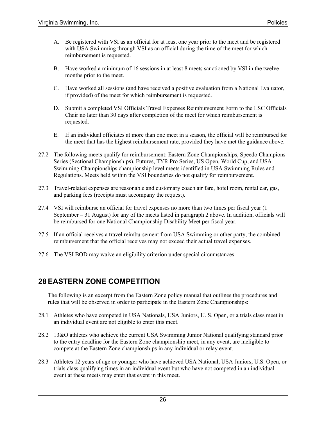- A. Be registered with VSI as an official for at least one year prior to the meet and be registered with USA Swimming through VSI as an official during the time of the meet for which reimbursement is requested.
- B. Have worked a minimum of 16 sessions in at least 8 meets sanctioned by VSI in the twelve months prior to the meet.
- C. Have worked all sessions (and have received a positive evaluation from a National Evaluator, if provided) of the meet for which reimbursement is requested.
- D. Submit a completed VSI Officials Travel Expenses Reimbursement Form to the LSC Officials Chair no later than 30 days after completion of the meet for which reimbursement is requested.
- E. If an individual officiates at more than one meet in a season, the official will be reimbursed for the meet that has the highest reimbursement rate, provided they have met the guidance above.
- 27.2 The following meets qualify for reimbursement: Eastern Zone Championships, Speedo Champions Series (Sectional Championships), Futures, TYR Pro Series, US Open, World Cup, and USA Swimming Championships championship level meets identified in USA Swimming Rules and Regulations. Meets held within the VSI boundaries do not qualify for reimbursement.
- 27.3 Travel-related expenses are reasonable and customary coach air fare, hotel room, rental car, gas, and parking fees (receipts must accompany the request).
- 27.4 VSI will reimburse an official for travel expenses no more than two times per fiscal year (1 September – 31 August) for any of the meets listed in paragraph 2 above. In addition, officials will be reimbursed for one National Championship Disability Meet per fiscal year.
- 27.5 If an official receives a travel reimbursement from USA Swimming or other party, the combined reimbursement that the official receives may not exceed their actual travel expenses.
- 27.6 The VSI BOD may waive an eligibility criterion under special circumstances.

### **28 EASTERN ZONE COMPETITION**

The following is an excerpt from the Eastern Zone policy manual that outlines the procedures and rules that will be observed in order to participate in the Eastern Zone Championships:

- 28.1 Athletes who have competed in USA Nationals, USA Juniors, U. S. Open, or a trials class meet in an individual event are not eligible to enter this meet.
- 28.2 13&O athletes who achieve the current USA Swimming Junior National qualifying standard prior to the entry deadline for the Eastern Zone championship meet, in any event, are ineligible to compete at the Eastern Zone championships in any individual or relay event.
- 28.3 Athletes 12 years of age or younger who have achieved USA National, USA Juniors, U.S. Open, or trials class qualifying times in an individual event but who have not competed in an individual event at these meets may enter that event in this meet.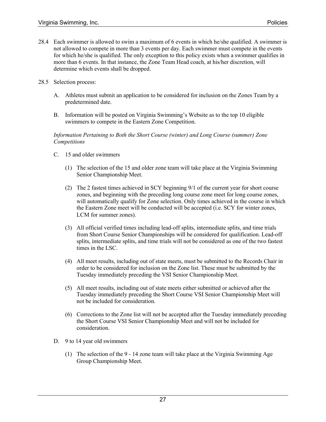- 28.4 Each swimmer is allowed to swim a maximum of 6 events in which he/she qualified. A swimmer is not allowed to compete in more than 3 events per day. Each swimmer must compete in the events for which he/she is qualified. The only exception to this policy exists when a swimmer qualifies in more than 6 events. In that instance, the Zone Team Head coach, at his/her discretion, will determine which events shall be dropped.
- 28.5 Selection process:
	- A. Athletes must submit an application to be considered for inclusion on the Zones Team by a predetermined date.
	- B. Information will be posted on Virginia Swimming's Website as to the top 10 eligible swimmers to compete in the Eastern Zone Competition.

#### *Information Pertaining to Both the Short Course (winter) and Long Course (summer) Zone Competitions*

- C. 15 and older swimmers
	- (1) The selection of the 15 and older zone team will take place at the Virginia Swimming Senior Championship Meet.
	- (2) The 2 fastest times achieved in SCY beginning 9/1 of the current year for short course zones, and beginning with the preceding long course zone meet for long course zones, will automatically qualify for Zone selection. Only times achieved in the course in which the Eastern Zone meet will be conducted will be accepted (i.e. SCY for winter zones, LCM for summer zones).
	- (3) All official verified times including lead-off splits, intermediate splits, and time trials from Short Course Senior Championships will be considered for qualification. Lead-off splits, intermediate splits, and time trials will not be considered as one of the two fastest times in the LSC.
	- (4) All meet results, including out of state meets, must be submitted to the Records Chair in order to be considered for inclusion on the Zone list. These must be submitted by the Tuesday immediately preceding the VSI Senior Championship Meet.
	- (5) All meet results, including out of state meets either submitted or achieved after the Tuesday immediately preceding the Short Course VSI Senior Championship Meet will not be included for consideration.
	- (6) Corrections to the Zone list will not be accepted after the Tuesday immediately preceding the Short Course VSI Senior Championship Meet and will not be included for consideration.
- D. 9 to 14 year old swimmers
	- (1) The selection of the 9 14 zone team will take place at the Virginia Swimming Age Group Championship Meet.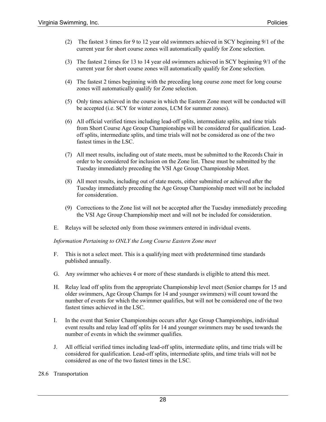- (2) The fastest 3 times for 9 to 12 year old swimmers achieved in SCY beginning 9/1 of the current year for short course zones will automatically qualify for Zone selection.
- (3) The fastest 2 times for 13 to 14 year old swimmers achieved in SCY beginning 9/1 of the current year for short course zones will automatically qualify for Zone selection.
- (4) The fastest 2 times beginning with the preceding long course zone meet for long course zones will automatically qualify for Zone selection.
- (5) Only times achieved in the course in which the Eastern Zone meet will be conducted will be accepted (i.e. SCY for winter zones, LCM for summer zones).
- (6) All official verified times including lead-off splits, intermediate splits, and time trials from Short Course Age Group Championships will be considered for qualification. Leadoff splits, intermediate splits, and time trials will not be considered as one of the two fastest times in the LSC.
- (7) All meet results, including out of state meets, must be submitted to the Records Chair in order to be considered for inclusion on the Zone list. These must be submitted by the Tuesday immediately preceding the VSI Age Group Championship Meet.
- (8) All meet results, including out of state meets, either submitted or achieved after the Tuesday immediately preceding the Age Group Championship meet will not be included for consideration.
- (9) Corrections to the Zone list will not be accepted after the Tuesday immediately preceding the VSI Age Group Championship meet and will not be included for consideration.
- E. Relays will be selected only from those swimmers entered in individual events.

*Information Pertaining to ONLY the Long Course Eastern Zone meet*

- F. This is not a select meet. This is a qualifying meet with predetermined time standards published annually.
- G. Any swimmer who achieves 4 or more of these standards is eligible to attend this meet.
- H. Relay lead off splits from the appropriate Championship level meet (Senior champs for 15 and older swimmers, Age Group Champs for 14 and younger swimmers) will count toward the number of events for which the swimmer qualifies, but will not be considered one of the two fastest times achieved in the LSC.
- I. In the event that Senior Championships occurs after Age Group Championships, individual event results and relay lead off splits for 14 and younger swimmers may be used towards the number of events in which the swimmer qualifies.
- J. All official verified times including lead-off splits, intermediate splits, and time trials will be considered for qualification. Lead-off splits, intermediate splits, and time trials will not be considered as one of the two fastest times in the LSC.

#### 28.6 Transportation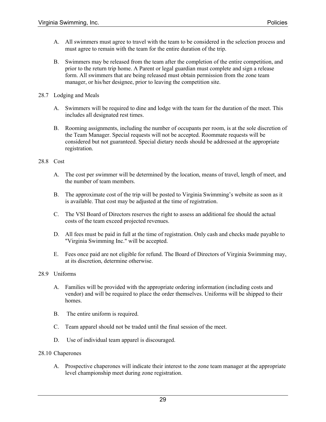- A. All swimmers must agree to travel with the team to be considered in the selection process and must agree to remain with the team for the entire duration of the trip.
- B. Swimmers may be released from the team after the completion of the entire competition, and prior to the return trip home. A Parent or legal guardian must complete and sign a release form. All swimmers that are being released must obtain permission from the zone team manager, or his/her designee, prior to leaving the competition site.
- 28.7 Lodging and Meals
	- A. Swimmers will be required to dine and lodge with the team for the duration of the meet. This includes all designated rest times.
	- B. Rooming assignments, including the number of occupants per room, is at the sole discretion of the Team Manager. Special requests will not be accepted. Roommate requests will be considered but not guaranteed. Special dietary needs should be addressed at the appropriate registration.

### 28.8 Cost

- A. The cost per swimmer will be determined by the location, means of travel, length of meet, and the number of team members.
- B. The approximate cost of the trip will be posted to Virginia Swimming's website as soon as it is available. That cost may be adjusted at the time of registration.
- C. The VSI Board of Directors reserves the right to assess an additional fee should the actual costs of the team exceed projected revenues.
- D. All fees must be paid in full at the time of registration. Only cash and checks made payable to "Virginia Swimming Inc." will be accepted.
- E. Fees once paid are not eligible for refund. The Board of Directors of Virginia Swimming may, at its discretion, determine otherwise.

### 28.9 Uniforms

- A. Families will be provided with the appropriate ordering information (including costs and vendor) and will be required to place the order themselves. Uniforms will be shipped to their homes.
- B. The entire uniform is required.
- C. Team apparel should not be traded until the final session of the meet.
- D. Use of individual team apparel is discouraged.

### 28.10 Chaperones

A. Prospective chaperones will indicate their interest to the zone team manager at the appropriate level championship meet during zone registration.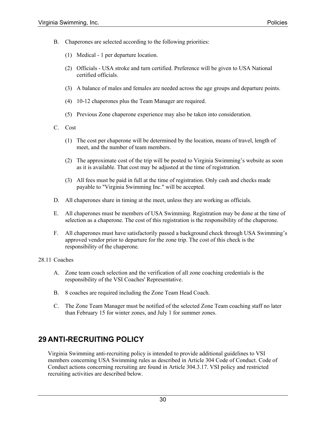- B. Chaperones are selected according to the following priorities:
	- (1) Medical 1 per departure location.
	- (2) Officials USA stroke and turn certified. Preference will be given to USA National certified officials.
	- (3) A balance of males and females are needed across the age groups and departure points.
	- (4) 10-12 chaperones plus the Team Manager are required.
	- (5) Previous Zone chaperone experience may also be taken into consideration.
- C. Cost
	- (1) The cost per chaperone will be determined by the location, means of travel, length of meet, and the number of team members.
	- (2) The approximate cost of the trip will be posted to Virginia Swimming's website as soon as it is available. That cost may be adjusted at the time of registration.
	- (3) All fees must be paid in full at the time of registration. Only cash and checks made payable to "Virginia Swimming Inc." will be accepted.
- D. All chaperones share in timing at the meet, unless they are working as officials.
- E. All chaperones must be members of USA Swimming. Registration may be done at the time of selection as a chaperone. The cost of this registration is the responsibility of the chaperone.
- F. All chaperones must have satisfactorily passed a background check through USA Swimming's approved vendor prior to departure for the zone trip. The cost of this check is the responsibility of the chaperone.

### 28.11 Coaches

- A. Zone team coach selection and the verification of all zone coaching credentials is the responsibility of the VSI Coaches' Representative.
- B. 8 coaches are required including the Zone Team Head Coach.
- C. The Zone Team Manager must be notified of the selected Zone Team coaching staff no later than February 15 for winter zones, and July 1 for summer zones.

# **29 ANTI-RECRUITING POLICY**

Virginia Swimming anti-recruiting policy is intended to provide additional guidelines to VSI members concerning USA Swimming rules as described in Article 304 Code of Conduct. Code of Conduct actions concerning recruiting are found in Article 304.3.17. VSI policy and restricted recruiting activities are described below.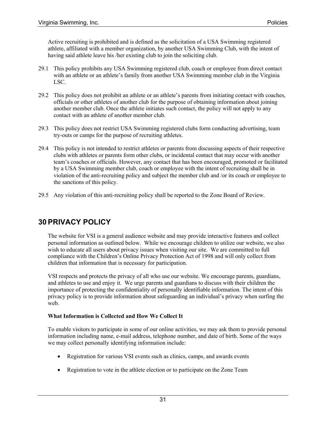Active recruiting is prohibited and is defined as the solicitation of a USA Swimming registered athlete, affiliated with a member organization, by another USA Swimming Club, with the intent of having said athlete leave his /her existing club to join the soliciting club.

- 29.1 This policy prohibits any USA Swimming registered club, coach or employee from direct contact with an athlete or an athlete's family from another USA Swimming member club in the Virginia LSC.
- 29.2 This policy does not prohibit an athlete or an athlete's parents from initiating contact with coaches, officials or other athletes of another club for the purpose of obtaining information about joining another member club. Once the athlete initiates such contact, the policy will not apply to any contact with an athlete of another member club.
- 29.3 This policy does not restrict USA Swimming registered clubs form conducting advertising, team try-outs or camps for the purpose of recruiting athletes.
- 29.4 This policy is not intended to restrict athletes or parents from discussing aspects of their respective clubs with athletes or parents form other clubs, or incidental contact that may occur with another team's coaches or officials. However, any contact that has been encouraged, promoted or facilitated by a USA Swimming member club, coach or employee with the intent of recruiting shall be in violation of the anti-recruiting policy and subject the member club and /or its coach or employee to the sanctions of this policy.
- 29.5 Any violation of this anti-recruiting policy shall be reported to the Zone Board of Review.

# **30 PRIVACY POLICY**

The website for VSI is a general audience website and may provide interactive features and collect personal information as outlined below. While we encourage children to utilize our website, we also wish to educate all users about privacy issues when visiting our site. We are committed to full compliance with the Children's Online Privacy Protection Act of 1998 and will only collect from children that information that is necessary for participation.

VSI respects and protects the privacy of all who use our website. We encourage parents, guardians, and athletes to use and enjoy it. We urge parents and guardians to discuss with their children the importance of protecting the confidentiality of personally identifiable information. The intent of this privacy policy is to provide information about safeguarding an individual's privacy when surfing the web.

### **What Information is Collected and How We Collect It**

To enable visitors to participate in some of our online activities, we may ask them to provide personal information including name, e-mail address, telephone number, and date of birth. Some of the ways we may collect personally identifying information include:

- Registration for various VSI events such as clinics, camps, and awards events
- Registration to vote in the athlete election or to participate on the Zone Team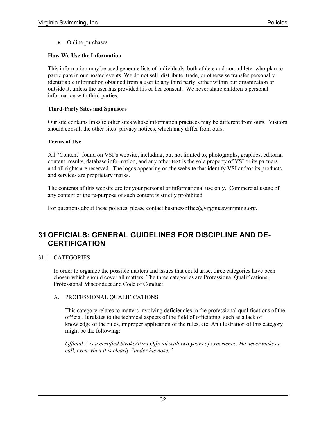• Online purchases

### **How We Use the Information**

This information may be used generate lists of individuals, both athlete and non-athlete, who plan to participate in our hosted events. We do not sell, distribute, trade, or otherwise transfer personally identifiable information obtained from a user to any third party, either within our organization or outside it, unless the user has provided his or her consent. We never share children's personal information with third parties.

### **Third-Party Sites and Sponsors**

Our site contains links to other sites whose information practices may be different from ours. Visitors should consult the other sites' privacy notices, which may differ from ours.

### **Terms of Use**

All "Content" found on VSI's website, including, but not limited to, photographs, graphics, editorial content, results, database information, and any other text is the sole property of VSI or its partners and all rights are reserved. The logos appearing on the website that identify VSI and/or its products and services are proprietary marks.

The contents of this website are for your personal or informational use only. Commercial usage of any content or the re-purpose of such content is strictly prohibited.

For questions about these policies, please contact businessoffice $@$ virginiaswimming.org.

# **31 OFFICIALS: GENERAL GUIDELINES FOR DISCIPLINE AND DE-CERTIFICATION**

### 31.1 CATEGORIES

In order to organize the possible matters and issues that could arise, three categories have been chosen which should cover all matters. The three categories are Professional Qualifications, Professional Misconduct and Code of Conduct.

### A. PROFESSIONAL QUALIFICATIONS

This category relates to matters involving deficiencies in the professional qualifications of the official. It relates to the technical aspects of the field of officiating, such as a lack of knowledge of the rules, improper application of the rules, etc. An illustration of this category might be the following:

*Official A is a certified Stroke/Turn Official with two years of experience. He never makes a call, even when it is clearly "under his nose."*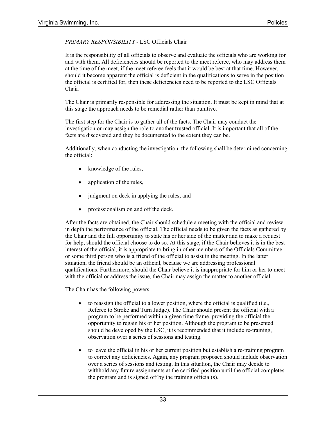### *PRIMARY RESPONSIBILITY* - LSC Officials Chair

It is the responsibility of all officials to observe and evaluate the officials who are working for and with them. All deficiencies should be reported to the meet referee, who may address them at the time of the meet, if the meet referee feels that it would be best at that time. However, should it become apparent the official is deficient in the qualifications to serve in the position the official is certified for, then these deficiencies need to be reported to the LSC Officials Chair.

The Chair is primarily responsible for addressing the situation. It must be kept in mind that at this stage the approach needs to be remedial rather than punitive.

The first step for the Chair is to gather all of the facts. The Chair may conduct the investigation or may assign the role to another trusted official. It is important that all of the facts are discovered and they be documented to the extent they can be.

Additionally, when conducting the investigation, the following shall be determined concerning the official:

- knowledge of the rules,
- application of the rules,
- judgment on deck in applying the rules, and
- professionalism on and off the deck.

After the facts are obtained, the Chair should schedule a meeting with the official and review in depth the performance of the official. The official needs to be given the facts as gathered by the Chair and the full opportunity to state his or her side of the matter and to make a request for help, should the official choose to do so. At this stage, if the Chair believes it is in the best interest of the official, it is appropriate to bring in other members of the Officials Committee or some third person who is a friend of the official to assist in the meeting. In the latter situation, the friend should be an official, because we are addressing professional qualifications. Furthermore, should the Chair believe it is inappropriate for him or her to meet with the official or address the issue, the Chair may assign the matter to another official.

The Chair has the following powers:

- to reassign the official to a lower position, where the official is qualified (i.e., Referee to Stroke and Turn Judge). The Chair should present the official with a program to be performed within a given time frame, providing the official the opportunity to regain his or her position. Although the program to be presented should be developed by the LSC, it is recommended that it include re-training, observation over a series of sessions and testing.
- to leave the official in his or her current position but establish a re-training program to correct any deficiencies. Again, any program proposed should include observation over a series of sessions and testing. In this situation, the Chair may decide to withhold any future assignments at the certified position until the official completes the program and is signed off by the training official(s).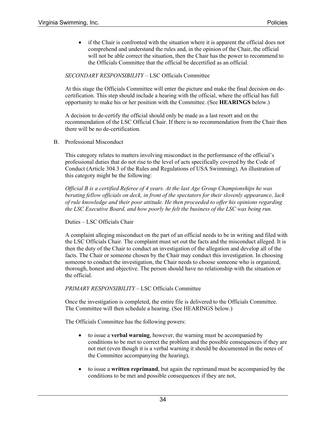• if the Chair is confronted with the situation where it is apparent the official does not comprehend and understand the rules and, in the opinion of the Chair, the official will not be able correct the situation, then the Chair has the power to recommend to the Officials Committee that the official be decertified as an official.

### *SECONDARY RESPONSIBILITY* – LSC Officials Committee

At this stage the Officials Committee will enter the picture and make the final decision on decertification. This step should include a hearing with the official, where the official has full opportunity to make his or her position with the Committee. (See **HEARINGS** below.)

A decision to de-certify the official should only be made as a last resort and on the recommendation of the LSC Official Chair. If there is no recommendation from the Chair then there will be no de-certification.

B. Professional Misconduct

This category relates to matters involving misconduct in the performance of the official's professional duties that do not rise to the level of acts specifically covered by the Code of Conduct (Article 304.3 of the Rules and Regulations of USA Swimming). An illustration of this category might be the following:

*Official B is a certified Referee of 4 years. At the last Age Group Championships he was berating fellow officials on deck, in front of the spectators for their slovenly appearance, lack of rule knowledge and their poor attitude. He then proceeded to offer his opinions regarding the LSC Executive Board, and how poorly he felt the business of the LSC was being run.*

Duties – LSC Officials Chair

A complaint alleging misconduct on the part of an official needs to be in writing and filed with the LSC Officials Chair. The complaint must set out the facts and the misconduct alleged. It is then the duty of the Chair to conduct an investigation of the allegation and develop all of the facts. The Chair or someone chosen by the Chair may conduct this investigation. In choosing someone to conduct the investigation, the Chair needs to choose someone who is organized, thorough, honest and objective. The person should have no relationship with the situation or the official.

### *PRIMARY RESPONSIBILITY* – LSC Officials Committee

Once the investigation is completed, the entire file is delivered to the Officials Committee. The Committee will then schedule a hearing. (See HEARINGS below.)

The Officials Committee has the following powers:

- to issue a **verbal warning**, however, the warning must be accompanied by conditions to be met to correct the problem and the possible consequences if they are not met (even though it is a verbal warning it should be documented in the notes of the Committee accompanying the hearing),
- to issue a **written reprimand**, but again the reprimand must be accompanied by the conditions to be met and possible consequences if they are not,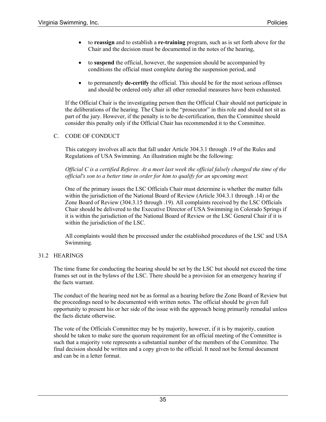- to **reassign** and to establish a **re-training** program, such as is set forth above for the Chair and the decision must be documented in the notes of the hearing,
- to **suspend** the official, however, the suspension should be accompanied by conditions the official must complete during the suspension period, and
- to permanently **de-certify** the official. This should be for the most serious offenses and should be ordered only after all other remedial measures have been exhausted.

If the Official Chair is the investigating person then the Official Chair should not participate in the deliberations of the hearing. The Chair is the "prosecutor" in this role and should not sit as part of the jury. However, if the penalty is to be de-certification, then the Committee should consider this penalty only if the Official Chair has recommended it to the Committee.

### C. CODE OF CONDUCT

This category involves all acts that fall under Article 304.3.1 through .19 of the Rules and Regulations of USA Swimming. An illustration might be the following:

*Official C is a certified Referee. At a meet last week the official falsely changed the time of the official's son to a better time in order for him to qualify for an upcoming meet.* 

One of the primary issues the LSC Officials Chair must determine is whether the matter falls within the jurisdiction of the National Board of Review (Article 304.3.1 through .14) or the Zone Board of Review (304.3.15 through .19). All complaints received by the LSC Officials Chair should be delivered to the Executive Director of USA Swimming in Colorado Springs if it is within the jurisdiction of the National Board of Review or the LSC General Chair if it is within the jurisdiction of the LSC.

All complaints would then be processed under the established procedures of the LSC and USA Swimming.

### 31.2 HEARINGS

The time frame for conducting the hearing should be set by the LSC but should not exceed the time frames set out in the bylaws of the LSC. There should be a provision for an emergency hearing if the facts warrant.

The conduct of the hearing need not be as formal as a hearing before the Zone Board of Review but the proceedings need to be documented with written notes. The official should be given full opportunity to present his or her side of the issue with the approach being primarily remedial unless the facts dictate otherwise.

The vote of the Officials Committee may be by majority, however, if it is by majority, caution should be taken to make sure the quorum requirement for an official meeting of the Committee is such that a majority vote represents a substantial number of the members of the Committee. The final decision should be written and a copy given to the official. It need not be formal document and can be in a letter format.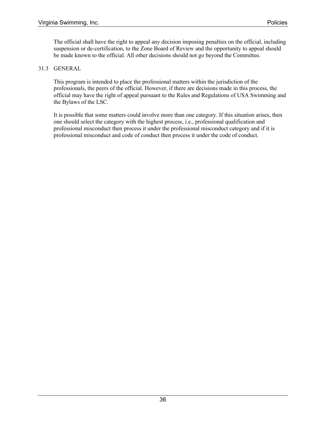The official shall have the right to appeal any decision imposing penalties on the official, including suspension or de-certification, to the Zone Board of Review and the opportunity to appeal should be made known to the official. All other decisions should not go beyond the Committee.

### 31.3 GENERAL

This program is intended to place the professional matters within the jurisdiction of the professionals, the peers of the official. However, if there are decisions made in this process, the official may have the right of appeal pursuant to the Rules and Regulations of USA Swimming and the Bylaws of the LSC.

It is possible that some matters could involve more than one category. If this situation arises, then one should select the category with the highest process, i.e., professional qualification and professional misconduct then process it under the professional misconduct category and if it is professional misconduct and code of conduct then process it under the code of conduct.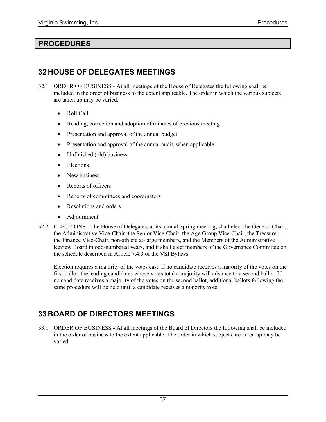### **PROCEDURES**

### **32 HOUSE OF DELEGATES MEETINGS**

- 32.1 ORDER OF BUSINESS At all meetings of the House of Delegates the following shall be included in the order of business to the extent applicable. The order in which the various subjects are taken up may be varied.
	- Roll Call
	- Reading, correction and adoption of minutes of previous meeting
	- Presentation and approval of the annual budget
	- Presentation and approval of the annual audit, when applicable
	- Unfinished (old) business
	- Elections
	- New business
	- Reports of officers
	- Reports of committees and coordinators
	- Resolutions and orders
	- Adjournment
- 32.2 ELECTIONS The House of Delegates, at its annual Spring meeting, shall elect the General Chair, the Administrative Vice-Chair, the Senior Vice-Chair, the Age Group Vice-Chair, the Treasurer, the Finance Vice-Chair, non-athlete at-large members, and the Members of the Administrative Review Board in odd-numbered years, and it shall elect members of the Governance Committee on the schedule described in Article 7.4.3 of the VSI Bylaws.

Election requires a majority of the votes cast. If no candidate receives a majority of the votes on the first ballot, the leading candidates whose votes total a majority will advance to a second ballot. If no candidate receives a majority of the votes on the second ballot, additional ballots following the same procedure will be held until a candidate receives a majority vote.

# **33 BOARD OF DIRECTORS MEETINGS**

33.1 ORDER OF BUSINESS - At all meetings of the Board of Directors the following shall be included in the order of business to the extent applicable. The order in which subjects are taken up may be varied.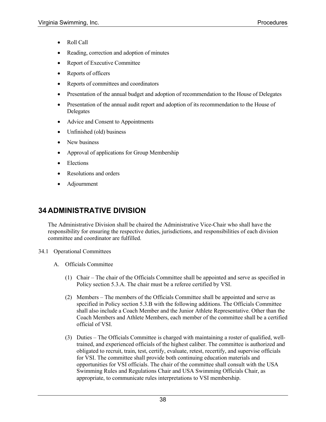- Roll Call
- Reading, correction and adoption of minutes
- Report of Executive Committee
- Reports of officers
- Reports of committees and coordinators
- Presentation of the annual budget and adoption of recommendation to the House of Delegates
- Presentation of the annual audit report and adoption of its recommendation to the House of Delegates
- Advice and Consent to Appointments
- Unfinished (old) business
- New business
- Approval of applications for Group Membership
- Elections
- **Resolutions and orders**
- Adjournment

# **34 ADMINISTRATIVE DIVISION**

The Administrative Division shall be chaired the Administrative Vice-Chair who shall have the responsibility for ensuring the respective duties, jurisdictions, and responsibilities of each division committee and coordinator are fulfilled.

- 34.1 Operational Committees
	- A. Officials Committee
		- (1) Chair The chair of the Officials Committee shall be appointed and serve as specified in Policy section 5.3.A. The chair must be a referee certified by VSI.
		- (2) Members The members of the Officials Committee shall be appointed and serve as specified in Policy section 5.3.B with the following additions. The Officials Committee shall also include a Coach Member and the Junior Athlete Representative. Other than the Coach Members and Athlete Members, each member of the committee shall be a certified official of VSI.
		- (3) Duties The Officials Committee is charged with maintaining a roster of qualified, welltrained, and experienced officials of the highest caliber. The committee is authorized and obligated to recruit, train, test, certify, evaluate, retest, recertify, and supervise officials for VSI. The committee shall provide both continuing education materials and opportunities for VSI officials. The chair of the committee shall consult with the USA Swimming Rules and Regulations Chair and USA Swimming Officials Chair, as appropriate, to communicate rules interpretations to VSI membership.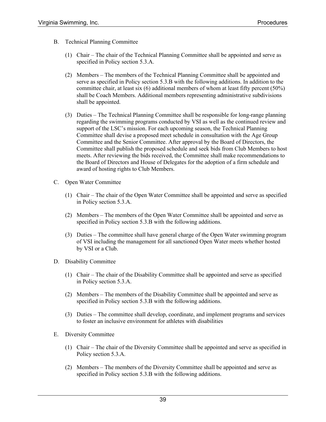- B. Technical Planning Committee
	- (1) Chair The chair of the Technical Planning Committee shall be appointed and serve as specified in Policy section 5.3.A.
	- (2) Members The members of the Technical Planning Committee shall be appointed and serve as specified in Policy section 5.3.B with the following additions. In addition to the committee chair, at least six (6) additional members of whom at least fifty percent (50%) shall be Coach Members. Additional members representing administrative subdivisions shall be appointed.
	- (3) Duties The Technical Planning Committee shall be responsible for long-range planning regarding the swimming programs conducted by VSI as well as the continued review and support of the LSC's mission. For each upcoming season, the Technical Planning Committee shall devise a proposed meet schedule in consultation with the Age Group Committee and the Senior Committee. After approval by the Board of Directors, the Committee shall publish the proposed schedule and seek bids from Club Members to host meets. After reviewing the bids received, the Committee shall make recommendations to the Board of Directors and House of Delegates for the adoption of a firm schedule and award of hosting rights to Club Members.
- C. Open Water Committee
	- (1) Chair The chair of the Open Water Committee shall be appointed and serve as specified in Policy section 5.3.A.
	- (2) Members The members of the Open Water Committee shall be appointed and serve as specified in Policy section 5.3.B with the following additions.
	- (3) Duties The committee shall have general charge of the Open Water swimming program of VSI including the management for all sanctioned Open Water meets whether hosted by VSI or a Club.
- D. Disability Committee
	- (1) Chair The chair of the Disability Committee shall be appointed and serve as specified in Policy section 5.3.A.
	- (2) Members The members of the Disability Committee shall be appointed and serve as specified in Policy section 5.3.B with the following additions.
	- (3) Duties The committee shall develop, coordinate, and implement programs and services to foster an inclusive environment for athletes with disabilities
- E. Diversity Committee
	- (1) Chair The chair of the Diversity Committee shall be appointed and serve as specified in Policy section 5.3.A.
	- (2) Members The members of the Diversity Committee shall be appointed and serve as specified in Policy section 5.3.B with the following additions.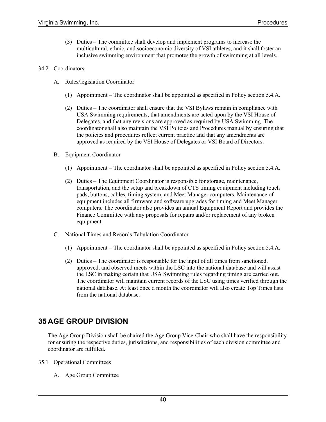(3) Duties – The committee shall develop and implement programs to increase the multicultural, ethnic, and socioeconomic diversity of VSI athletes, and it shall foster an inclusive swimming environment that promotes the growth of swimming at all levels.

#### 34.2 Coordinators

- A. Rules/legislation Coordinator
	- (1) Appointment The coordinator shall be appointed as specified in Policy section 5.4.A.
	- (2) Duties The coordinator shall ensure that the VSI Bylaws remain in compliance with USA Swimming requirements, that amendments are acted upon by the VSI House of Delegates, and that any revisions are approved as required by USA Swimming. The coordinator shall also maintain the VSI Policies and Procedures manual by ensuring that the policies and procedures reflect current practice and that any amendments are approved as required by the VSI House of Delegates or VSI Board of Directors.
- B. Equipment Coordinator
	- (1) Appointment The coordinator shall be appointed as specified in Policy section 5.4.A.
	- (2) Duties The Equipment Coordinator is responsible for storage, maintenance, transportation, and the setup and breakdown of CTS timing equipment including touch pads, buttons, cables, timing system, and Meet Manager computers. Maintenance of equipment includes all firmware and software upgrades for timing and Meet Manager computers. The coordinator also provides an annual Equipment Report and provides the Finance Committee with any proposals for repairs and/or replacement of any broken equipment.
- C. National Times and Records Tabulation Coordinator
	- (1) Appointment The coordinator shall be appointed as specified in Policy section 5.4.A.
	- (2) Duties The coordinator is responsible for the input of all times from sanctioned, approved, and observed meets within the LSC into the national database and will assist the LSC in making certain that USA Swimming rules regarding timing are carried out. The coordinator will maintain current records of the LSC using times verified through the national database. At least once a month the coordinator will also create Top Times lists from the national database.

### **35 AGE GROUP DIVISION**

The Age Group Division shall be chaired the Age Group Vice-Chair who shall have the responsibility for ensuring the respective duties, jurisdictions, and responsibilities of each division committee and coordinator are fulfilled.

- 35.1 Operational Committees
	- A. Age Group Committee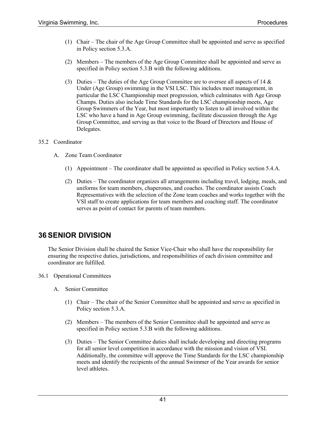- (1) Chair The chair of the Age Group Committee shall be appointed and serve as specified in Policy section 5.3.A.
- (2) Members The members of the Age Group Committee shall be appointed and serve as specified in Policy section 5.3.B with the following additions.
- (3) Duties The duties of the Age Group Committee are to oversee all aspects of 14  $\&$ Under (Age Group) swimming in the VSI LSC. This includes meet management, in particular the LSC Championship meet progression, which culminates with Age Group Champs. Duties also include Time Standards for the LSC championship meets, Age Group Swimmers of the Year, but most importantly to listen to all involved within the LSC who have a hand in Age Group swimming, facilitate discussion through the Age Group Committee, and serving as that voice to the Board of Directors and House of Delegates.

### 35.2 Coordinator

- A. Zone Team Coordinator
	- (1) Appointment The coordinator shall be appointed as specified in Policy section 5.4.A.
	- (2) Duties The coordinator organizes all arrangements including travel, lodging, meals, and uniforms for team members, chaperones, and coaches. The coordinator assists Coach Representatives with the selection of the Zone team coaches and works together with the VSI staff to create applications for team members and coaching staff. The coordinator serves as point of contact for parents of team members.

# **36 SENIOR DIVISION**

The Senior Division shall be chaired the Senior Vice-Chair who shall have the responsibility for ensuring the respective duties, jurisdictions, and responsibilities of each division committee and coordinator are fulfilled.

#### 36.1 Operational Committees

- A. Senior Committee
	- (1) Chair The chair of the Senior Committee shall be appointed and serve as specified in Policy section 5.3.A.
	- (2) Members The members of the Senior Committee shall be appointed and serve as specified in Policy section 5.3.B with the following additions.
	- (3) Duties The Senior Committee duties shall include developing and directing programs for all senior level competition in accordance with the mission and vision of VSI. Additionally, the committee will approve the Time Standards for the LSC championship meets and identify the recipients of the annual Swimmer of the Year awards for senior level athletes.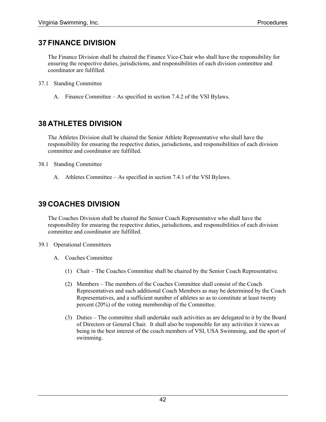### **37 FINANCE DIVISION**

The Finance Division shall be chaired the Finance Vice-Chair who shall have the responsibility for ensuring the respective duties, jurisdictions, and responsibilities of each division committee and coordinator are fulfilled.

- 37.1 Standing Committee
	- A. Finance Committee As specified in section 7.4.2 of the VSI Bylaws.

### **38 ATHLETES DIVISION**

The Athletes Division shall be chaired the Senior Athlete Representative who shall have the responsibility for ensuring the respective duties, jurisdictions, and responsibilities of each division committee and coordinator are fulfilled.

### 38.1 Standing Committee

A. Athletes Committee – As specified in section 7.4.1 of the VSI Bylaws.

### **39 COACHES DIVISION**

The Coaches Division shall be chaired the Senior Coach Representative who shall have the responsibility for ensuring the respective duties, jurisdictions, and responsibilities of each division committee and coordinator are fulfilled.

- 39.1 Operational Committees
	- A. Coaches Committee
		- (1) Chair The Coaches Committee shall be chaired by the Senior Coach Representative.
		- (2) Members The members of the Coaches Committee shall consist of the Coach Representatives and such additional Coach Members as may be determined by the Coach Representatives, and a sufficient number of athletes so as to constitute at least twenty percent (20%) of the voting membership of the Committee.
		- (3) Duties The committee shall undertake such activities as are delegated to it by the Board of Directors or General Chair. It shall also be responsible for any activities it views as being in the best interest of the coach members of VSI, USA Swimming, and the sport of swimming.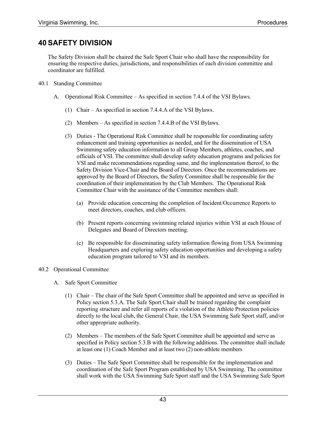# **40 SAFETY DIVISION**

The Safety Division shall be chaired the Safe Sport Chair who shall have the responsibility for ensuring the respective duties, jurisdictions, and responsibilities of each division committee and coordinator are fulfilled.

- 40.1 Standing Committee
	- A. Operational Risk Committee As specified in section 7.4.4 of the VSI Bylaws.
		- (1) Chair As specified in section 7.4.4.A of the VSI Bylaws.
		- (2) Members As specified in section 7.4.4.B of the VSI Bylaws.
		- (3) Duties The Operational Risk Committee shall be responsible for coordinating safety enhancement and training opportunities as needed, and for the dissemination of USA Swimming safety education information to all Group Members, athletes, coaches, and officials of VSI. The committee shall develop safety education programs and policies for VSI and make recommendations regarding same, and the implementation thereof, to the Safety Division Vice-Chair and the Board of Directors. Once the recommendations are approved by the Board of Directors, the Safety Committee shall be responsible for the coordination of their implementation by the Club Members. The Operational Risk Committee Chair with the assistance of the Committee members shall:
			- (a) Provide education concerning the completion of Incident/Occurrence Reports to meet directors, coaches, and club officers.
			- (b) Present reports concerning swimming related injuries within VSI at each House of Delegates and Board of Directors meeting.
			- (c) Be responsible for disseminating safety information flowing from USA Swimming Headquarters and exploring safety education opportunities and developing a safety education program tailored to VSI and its members.

### 40.2 Operational Committee

- A. Safe Sport Committee
	- (1) Chair The chair of the Safe Sport Committee shall be appointed and serve as specified in Policy section 5.3.A. The Safe Sport Chair shall be trained regarding the complaint reporting structure and refer all reports of a violation of the Athlete Protection policies directly to the local club, the General Chair, the USA Swimming Safe Sport staff, and/or other appropriate authority.
	- (2) Members The members of the Safe Sport Committee shall be appointed and serve as specified in Policy section 5.3.B with the following additions. The committee shall include at least one (1) Coach Member and at least two (2) non-athlete members
	- (3) Duties The Safe Sport Committee shall be responsible for the implementation and coordination of the Safe Sport Program established by USA Swimming. The committee shall work with the USA Swimming Safe Sport staff and the USA Swimming Safe Sport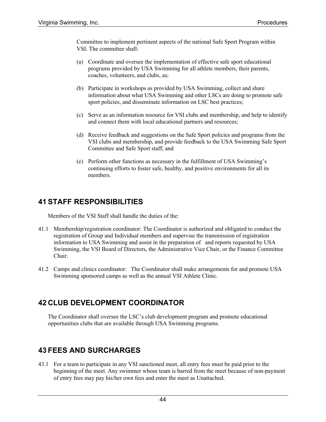Committee to implement pertinent aspects of the national Safe Sport Program within VSI. The committee shall:

- (a) Coordinate and oversee the implementation of effective safe sport educational programs provided by USA Swimming for all athlete members, their parents, coaches, volunteers, and clubs, as;
- (b) Participate in workshops as provided by USA Swimming, collect and share information about what USA Swimming and other LSCs are doing to promote safe sport policies, and disseminate information on LSC best practices;
- (c) Serve as an information resource for VSI clubs and membership, and help to identify and connect them with local educational partners and resources;
- (d) Receive feedback and suggestions on the Safe Sport policies and programs from the VSI clubs and membership, and provide feedback to the USA Swimming Safe Sport Committee and Safe Sport staff; and
- (e) Perform other functions as necessary in the fulfillment of USA Swimming's continuing efforts to foster safe, healthy, and positive environments for all its members.

# **41 STAFF RESPONSIBILITIES**

Members of the VSI Staff shall handle the duties of the:

- 41.1 Membership/registration coordinator: The Coordinator is authorized and obligated to conduct the registration of Group and Individual members and supervise the transmission of registration information to USA Swimming and assist in the preparation of and reports requested by USA Swimming, the VSI Board of Directors, the Administrative Vice Chair, or the Finance Committee Chair.
- 41.2 Camps and clinics coordinator: The Coordinator shall make arrangements for and promote USA Swimming sponsored camps as well as the annual VSI Athlete Clinic.

# **42 CLUB DEVELOPMENT COORDINATOR**

The Coordinator shall oversee the LSC's club development program and promote educational opportunities clubs that are available through USA Swimming programs.

# **43 FEES AND SURCHARGES**

43.1 For a team to participate in any VSI sanctioned meet, all entry fees must be paid prior to the beginning of the meet. Any swimmer whose team is barred from the meet because of non-payment of entry fees may pay his/her own fees and enter the meet as Unattached.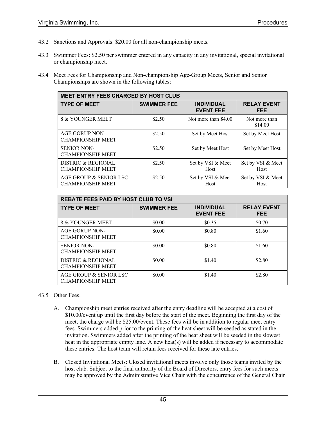- 43.2 Sanctions and Approvals: \$20.00 for all non-championship meets.
- 43.3 Swimmer Fees: \$2.50 per swimmer entered in any capacity in any invitational, special invitational or championship meet.
- 43.4 Meet Fees for Championship and Non-championship Age-Group Meets, Senior and Senior Championships are shown in the following tables:

| <b>MEET ENTRY FEES CHARGED BY HOST CLUB</b>        |                    |                                       |                            |  |  |  |  |
|----------------------------------------------------|--------------------|---------------------------------------|----------------------------|--|--|--|--|
| <b>TYPE OF MEET</b>                                | <b>SWIMMER FEE</b> | <b>INDIVIDUAL</b><br><b>EVENT FEE</b> | <b>RELAY EVENT</b><br>FEE. |  |  |  |  |
| 8 & YOUNGER MEET                                   | \$2.50             | Not more than \$4.00                  | Not more than<br>\$14.00   |  |  |  |  |
| <b>AGE GORUP NON-</b><br><b>CHAMPIONSHIP MEET</b>  | \$2.50             | Set by Meet Host                      | Set by Meet Host           |  |  |  |  |
| <b>SENIOR NON-</b><br><b>CHAMPIONSHIP MEET</b>     | \$2.50             | Set by Meet Host                      | Set by Meet Host           |  |  |  |  |
| DISTRIC & REGIONAL<br><b>CHAMPIONSHIP MEET</b>     | \$2.50             | Set by VSI & Meet<br>Host             | Set by VSI & Meet<br>Host  |  |  |  |  |
| AGE GROUP & SENIOR LSC<br><b>CHAMPIONSHIP MEET</b> | \$2.50             | Set by VSI & Meet<br>Host             | Set by VSI & Meet<br>Host  |  |  |  |  |

| <b>REBATE FEES PAID BY HOST CLUB TO VSI</b>        |                    |                                       |                                  |  |  |  |
|----------------------------------------------------|--------------------|---------------------------------------|----------------------------------|--|--|--|
| <b>TYPE OF MEET</b>                                | <b>SWIMMER FEE</b> | <b>INDIVIDUAL</b><br><b>EVENT FEE</b> | <b>RELAY EVENT</b><br><b>FEE</b> |  |  |  |
| 8 & YOUNGER MEET                                   | \$0.00             | \$0.35                                | \$0.70                           |  |  |  |
| <b>AGE GORUP NON-</b><br><b>CHAMPIONSHIP MEET</b>  | \$0.00             | \$0.80                                | \$1.60                           |  |  |  |
| <b>SENIOR NON-</b><br><b>CHAMPIONSHIP MEET</b>     | \$0.00             | \$0.80                                | \$1.60                           |  |  |  |
| DISTRIC & REGIONAL<br><b>CHAMPIONSHIP MEET</b>     | \$0.00             | \$1.40                                | \$2.80                           |  |  |  |
| AGE GROUP & SENIOR LSC<br><b>CHAMPIONSHIP MEET</b> | \$0.00             | \$1.40                                | \$2.80                           |  |  |  |

### 43.5 Other Fees.

- A. Championship meet entries received after the entry deadline will be accepted at a cost of \$10.00/event up until the first day before the start of the meet. Beginning the first day of the meet, the charge will be \$25.00/event. These fees will be in addition to regular meet entry fees. Swimmers added prior to the printing of the heat sheet will be seeded as stated in the invitation. Swimmers added after the printing of the heat sheet will be seeded in the slowest heat in the appropriate empty lane. A new heat(s) will be added if necessary to accommodate these entries. The host team will retain fees received for these late entries.
- B. Closed Invitational Meets: Closed invitational meets involve only those teams invited by the host club. Subject to the final authority of the Board of Directors, entry fees for such meets may be approved by the Administrative Vice Chair with the concurrence of the General Chair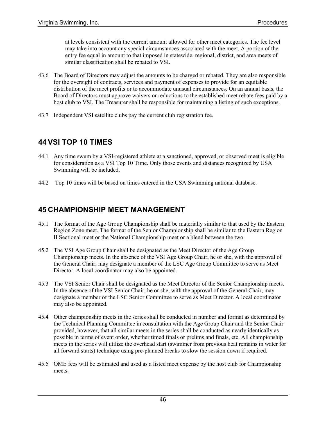at levels consistent with the current amount allowed for other meet categories. The fee level may take into account any special circumstances associated with the meet. A portion of the entry fee equal in amount to that imposed in statewide, regional, district, and area meets of similar classification shall be rebated to VSI.

- 43.6 The Board of Directors may adjust the amounts to be charged or rebated. They are also responsible for the oversight of contracts, services and payment of expenses to provide for an equitable distribution of the meet profits or to accommodate unusual circumstances. On an annual basis, the Board of Directors must approve waivers or reductions to the established meet rebate fees paid by a host club to VSI. The Treasurer shall be responsible for maintaining a listing of such exceptions.
- 43.7 Independent VSI satellite clubs pay the current club registration fee.

### **44 VSI TOP 10 TIMES**

- 44.1 Any time swum by a VSI-registered athlete at a sanctioned, approved, or observed meet is eligible for consideration as a VSI Top 10 Time. Only those events and distances recognized by USA Swimming will be included.
- 44.2 Top 10 times will be based on times entered in the USA Swimming national database.

### **45 CHAMPIONSHIP MEET MANAGEMENT**

- 45.1 The format of the Age Group Championship shall be materially similar to that used by the Eastern Region Zone meet. The format of the Senior Championship shall be similar to the Eastern Region II Sectional meet or the National Championship meet or a blend between the two.
- 45.2 The VSI Age Group Chair shall be designated as the Meet Director of the Age Group Championship meets. In the absence of the VSI Age Group Chair, he or she, with the approval of the General Chair, may designate a member of the LSC Age Group Committee to serve as Meet Director. A local coordinator may also be appointed.
- 45.3 The VSI Senior Chair shall be designated as the Meet Director of the Senior Championship meets. In the absence of the VSI Senior Chair, he or she, with the approval of the General Chair, may designate a member of the LSC Senior Committee to serve as Meet Director. A local coordinator may also be appointed.
- 45.4 Other championship meets in the series shall be conducted in number and format as determined by the Technical Planning Committee in consultation with the Age Group Chair and the Senior Chair provided, however, that all similar meets in the series shall be conducted as nearly identically as possible in terms of event order, whether timed finals or prelims and finals, etc. All championship meets in the series will utilize the overhead start (swimmer from previous heat remains in water for all forward starts) technique using pre-planned breaks to slow the session down if required.
- 45.5 OME fees will be estimated and used as a listed meet expense by the host club for Championship meets.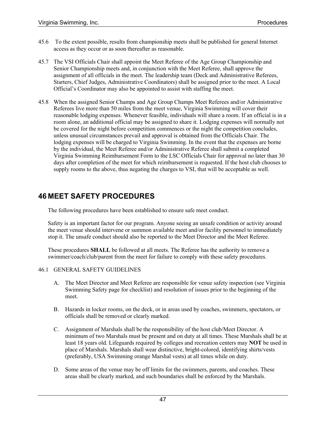- 45.6 To the extent possible, results from championship meets shall be published for general Internet access as they occur or as soon thereafter as reasonable.
- 45.7 The VSI Officials Chair shall appoint the Meet Referee of the Age Group Championship and Senior Championship meets and, in conjunction with the Meet Referee, shall approve the assignment of all officials in the meet. The leadership team (Deck and Administrative Referees, Starters, Chief Judges, Administrative Coordinators) shall be assigned prior to the meet. A Local Official's Coordinator may also be appointed to assist with staffing the meet.
- 45.8 When the assigned Senior Champs and Age Group Champs Meet Referees and/or Administrative Referees live more than 50 miles from the meet venue, Virginia Swimming will cover their reasonable lodging expenses. Whenever feasible, individuals will share a room. If an official is in a room alone, an additional official may be assigned to share it. Lodging expenses will normally not be covered for the night before competition commences or the night the competition concludes, unless unusual circumstances prevail and approval is obtained from the Officials Chair. The lodging expenses will be charged to Virginia Swimming. In the event that the expenses are borne by the individual, the Meet Referee and/or Administrative Referee shall submit a completed Virginia Swimming Reimbursement Form to the LSC Officials Chair for approval no later than 30 days after completion of the meet for which reimbursement is requested. If the host club chooses to supply rooms to the above, thus negating the charges to VSI, that will be acceptable as well.

# **46 MEET SAFETY PROCEDURES**

The following procedures have been established to ensure safe meet conduct.

Safety is an important factor for our program. Anyone seeing an unsafe condition or activity around the meet venue should intervene or summon available meet and/or facility personnel to immediately stop it. The unsafe conduct should also be reported to the Meet Director and the Meet Referee.

These procedures **SHALL** be followed at all meets. The Referee has the authority to remove a swimmer/coach/club/parent from the meet for failure to comply with these safety procedures.

### 46.1 GENERAL SAFETY GUIDELINES

- A. The Meet Director and Meet Referee are responsible for venue safety inspection (see Virginia Swimming Safety page for checklist) and resolution of issues prior to the beginning of the meet.
- B. Hazards in locker rooms, on the deck, or in areas used by coaches, swimmers, spectators, or officials shall be removed or clearly marked.
- C. Assignment of Marshals shall be the responsibility of the host club/Meet Director. A minimum of two Marshals must be present and on duty at all times. These Marshals shall be at least 18 years old. Lifeguards required by colleges and recreation centers may **NOT** be used in place of Marshals. Marshals shall wear distinctive, bright-colored, identifying shirts/vests (preferably, USA Swimming orange Marshal vests) at all times while on duty.
- D. Some areas of the venue may be off limits for the swimmers, parents, and coaches. These areas shall be clearly marked, and such boundaries shall be enforced by the Marshals.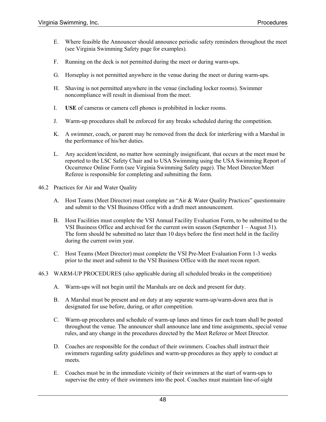- E. Where feasible the Announcer should announce periodic safety reminders throughout the meet (see Virginia Swimming Safety page for examples).
- F. Running on the deck is not permitted during the meet or during warm-ups.
- G. Horseplay is not permitted anywhere in the venue during the meet or during warm-ups.
- H. Shaving is not permitted anywhere in the venue (including locker rooms). Swimmer noncompliance will result in dismissal from the meet.
- I. **USE** of cameras or camera cell phones is prohibited in locker rooms.
- J. Warm-up procedures shall be enforced for any breaks scheduled during the competition.
- K. A swimmer, coach, or parent may be removed from the deck for interfering with a Marshal in the performance of his/her duties.
- L. Any accident/incident, no matter how seemingly insignificant, that occurs at the meet must be reported to the LSC Safety Chair and to USA Swimming using the USA Swimming Report of Occurrence Online Form (see Virginia Swimming Safety page). The Meet Director/Meet Referee is responsible for completing and submitting the form.
- 46.2 Practices for Air and Water Quality
	- A. Host Teams (Meet Director) must complete an "Air & Water Quality Practices" questionnaire and submit to the VSI Business Office with a draft meet announcement.
	- B. Host Facilities must complete the VSI Annual Facility Evaluation Form, to be submitted to the VSI Business Office and archived for the current swim season (September 1 – August 31). The form should be submitted no later than 10 days before the first meet held in the facility during the current swim year.
	- C. Host Teams (Meet Director) must complete the VSI Pre-Meet Evaluation Form 1-3 weeks prior to the meet and submit to the VSI Business Office with the meet recon report.
- 46.3 WARM-UP PROCEDURES (also applicable during all scheduled breaks in the competition)
	- A. Warm-ups will not begin until the Marshals are on deck and present for duty.
	- B. A Marshal must be present and on duty at any separate warm-up/warm-down area that is designated for use before, during, or after competition.
	- C. Warm-up procedures and schedule of warm-up lanes and times for each team shall be posted throughout the venue. The announcer shall announce lane and time assignments, special venue rules, and any change in the procedures directed by the Meet Referee or Meet Director.
	- D. Coaches are responsible for the conduct of their swimmers. Coaches shall instruct their swimmers regarding safety guidelines and warm-up procedures as they apply to conduct at meets.
	- E. Coaches must be in the immediate vicinity of their swimmers at the start of warm-ups to supervise the entry of their swimmers into the pool. Coaches must maintain line-of-sight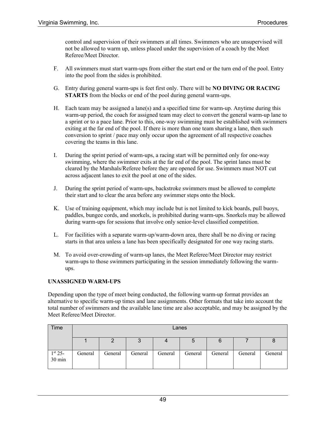control and supervision of their swimmers at all times. Swimmers who are unsupervised will not be allowed to warm up, unless placed under the supervision of a coach by the Meet Referee/Meet Director.

- F. All swimmers must start warm-ups from either the start end or the turn end of the pool. Entry into the pool from the sides is prohibited.
- G. Entry during general warm-ups is feet first only. There will be **NO DIVING OR RACING STARTS** from the blocks or end of the pool during general warm-ups.
- H. Each team may be assigned a lane(s) and a specified time for warm-up. Anytime during this warm-up period, the coach for assigned team may elect to convert the general warm-up lane to a sprint or to a pace lane. Prior to this, one-way swimming must be established with swimmers exiting at the far end of the pool. If there is more than one team sharing a lane, then such conversion to sprint / pace may only occur upon the agreement of all respective coaches covering the teams in this lane.
- I. During the sprint period of warm-ups, a racing start will be permitted only for one-way swimming, where the swimmer exits at the far end of the pool. The sprint lanes must be cleared by the Marshals/Referee before they are opened for use. Swimmers must NOT cut across adjacent lanes to exit the pool at one of the sides.
- J. During the sprint period of warm-ups, backstroke swimmers must be allowed to complete their start and to clear the area before any swimmer steps onto the block.
- K. Use of training equipment, which may include but is not limited to kick boards, pull buoys, paddles, bungee cords, and snorkels, is prohibited during warm-ups. Snorkels may be allowed during warm-ups for sessions that involve only senior-level classified competition.
- L. For facilities with a separate warm-up/warm-down area, there shall be no diving or racing starts in that area unless a lane has been specifically designated for one way racing starts.
- M. To avoid over-crowding of warm-up lanes, the Meet Referee/Meet Director may restrict warm-ups to those swimmers participating in the session immediately following the warmups.

### **UNASSIGNED WARM-UPS**

Depending upon the type of meet being conducted, the following warm-up format provides an alternative to specific warm-up times and lane assignments. Other formats that take into account the total number of swimmers and the available lane time are also acceptable, and may be assigned by the Meet Referee/Meet Director.

| Time                    | Lanes   |         |         |         |         |         |         |         |
|-------------------------|---------|---------|---------|---------|---------|---------|---------|---------|
|                         |         |         |         | 4       | G       | 6       |         |         |
| $\frac{1^{st}}{30}$ min | General | General | General | General | General | General | General | General |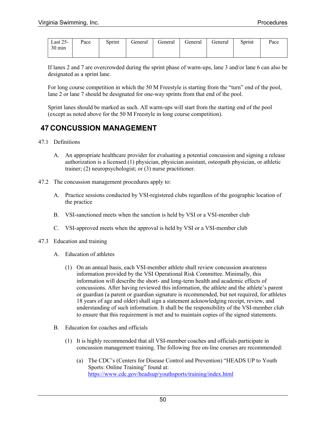| Last $25-$       | Pace | Sprint | General | General | General | deneral | Sprint | Pace |
|------------------|------|--------|---------|---------|---------|---------|--------|------|
| $30 \text{ min}$ |      |        |         |         |         |         |        |      |
|                  |      |        |         |         |         |         |        |      |

If lanes 2 and 7 are overcrowded during the sprint phase of warm-ups, lane 3 and/or lane 6 can also be designated as a sprint lane.

For long course competition in which the 50 M Freestyle is starting from the "turn" end of the pool, lane 2 or lane 7 should be designated for one-way sprints from that end of the pool.

Sprint lanes should be marked as such. All warm-ups will start from the starting end of the pool (except as noted above for the 50 M Freestyle in long course competition).

### **47 CONCUSSION MANAGEMENT**

- 47.1 Definitions
	- A. An appropriate healthcare provider for evaluating a potential concussion and signing a release authorization is a licensed (1) physician, physician assistant, osteopath physician, or athletic trainer; (2) neuropsychologist; or (3) nurse practitioner.
- 47.2 The concussion management procedures apply to:
	- A. Practice sessions conducted by VSI-registered clubs regardless of the geographic location of the practice
	- B. VSI-sanctioned meets when the sanction is held by VSI or a VSI-member club
	- C. VSI-approved meets when the approval is held by VSI or a VSI-member club
- 47.3 Education and training
	- A. Education of athletes
		- (1) On an annual basis, each VSI-member athlete shall review concussion awareness information provided by the VSI Operational Risk Committee. Minimally, this information will describe the short- and long-term health and academic effects of concussions. After having reviewed this information, the athlete and the athlete's parent or guardian (a parent or guardian signature is recommended, but not required, for athletes 18 years of age and older) shall sign a statement acknowledging receipt, review, and understanding of such information. It shall be the responsibility of the VSI-member club to ensure that this requirement is met and to maintain copies of the signed statements.
	- B. Education for coaches and officials
		- (1) It is highly recommended that all VSI-member coaches and officials participate in concussion management training. The following free on-line courses are recommended:
			- (a) The CDC's (Centers for Disease Control and Prevention) "HEADS UP to Youth Sports: Online Training" found at: https://www.cdc.gov/headsup/youthsports/training/index.html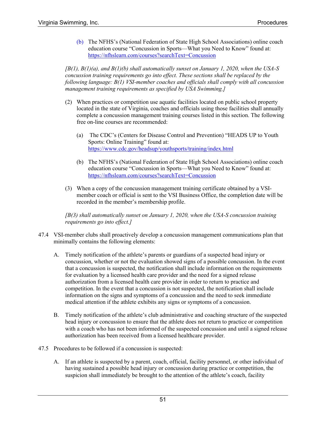(b) The NFHS's (National Federation of State High School Associations) online coach education course "Concussion in Sports—What you Need to Know" found at: https://nfhslearn.com/courses?searchText=Concussion

*[B(1), B(1)(a), and B(1)(b) shall automatically sunset on January 1, 2020, when the USA-S concussion training requirements go into effect. These sections shall be replaced by the following language: B(1) VSI-member coaches and officials shall comply with all concussion management training requirements as specified by USA Swimming.]*

- (2) When practices or competition use aquatic facilities located on public school property located in the state of Virginia, coaches and officials using those facilities shall annually complete a concussion management training courses listed in this section. The following free on-line courses are recommended:
	- (a) The CDC's (Centers for Disease Control and Prevention) "HEADS UP to Youth Sports: Online Training" found at: https://www.cdc.gov/headsup/youthsports/training/index.html
	- (b) The NFHS's (National Federation of State High School Associations) online coach education course "Concussion in Sports—What you Need to Know" found at: https://nfhslearn.com/courses?searchText=Concussion
- (3) When a copy of the concussion management training certificate obtained by a VSImember coach or official is sent to the VSI Business Office, the completion date will be recorded in the member's membership profile.

*[B(3) shall automatically sunset on January 1, 2020, when the USA-S concussion training requirements go into effect.]*

- 47.4 VSI-member clubs shall proactively develop a concussion management communications plan that minimally contains the following elements:
	- A. Timely notification of the athlete's parents or guardians of a suspected head injury or concussion, whether or not the evaluation showed signs of a possible concussion. In the event that a concussion is suspected, the notification shall include information on the requirements for evaluation by a licensed health care provider and the need for a signed release authorization from a licensed health care provider in order to return to practice and competition. In the event that a concussion is not suspected, the notification shall include information on the signs and symptoms of a concussion and the need to seek immediate medical attention if the athlete exhibits any signs or symptoms of a concussion.
	- B. Timely notification of the athlete's club administrative and coaching structure of the suspected head injury or concussion to ensure that the athlete does not return to practice or competition with a coach who has not been informed of the suspected concussion and until a signed release authorization has been received from a licensed healthcare provider.
- 47.5 Procedures to be followed if a concussion is suspected:
	- A. If an athlete is suspected by a parent, coach, official, facility personnel, or other individual of having sustained a possible head injury or concussion during practice or competition, the suspicion shall immediately be brought to the attention of the athlete's coach, facility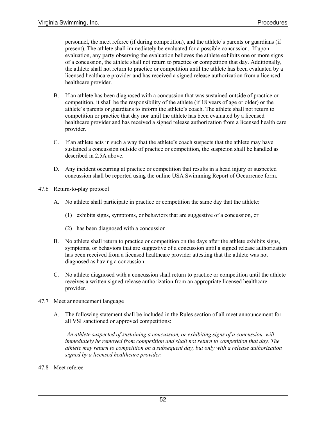personnel, the meet referee (if during competition), and the athlete's parents or guardians (if present). The athlete shall immediately be evaluated for a possible concussion. If upon evaluation, any party observing the evaluation believes the athlete exhibits one or more signs of a concussion, the athlete shall not return to practice or competition that day. Additionally, the athlete shall not return to practice or competition until the athlete has been evaluated by a licensed healthcare provider and has received a signed release authorization from a licensed healthcare provider.

- B. If an athlete has been diagnosed with a concussion that was sustained outside of practice or competition, it shall be the responsibility of the athlete (if 18 years of age or older) or the athlete's parents or guardians to inform the athlete's coach. The athlete shall not return to competition or practice that day nor until the athlete has been evaluated by a licensed healthcare provider and has received a signed release authorization from a licensed health care provider.
- C. If an athlete acts in such a way that the athlete's coach suspects that the athlete may have sustained a concussion outside of practice or competition, the suspicion shall be handled as described in 2.5A above.
- D. Any incident occurring at practice or competition that results in a head injury or suspected concussion shall be reported using the online USA Swimming Report of Occurrence form.
- 47.6 Return-to-play protocol
	- A. No athlete shall participate in practice or competition the same day that the athlete:
		- (1) exhibits signs, symptoms, or behaviors that are suggestive of a concussion, or
		- (2) has been diagnosed with a concussion
	- B. No athlete shall return to practice or competition on the days after the athlete exhibits signs, symptoms, or behaviors that are suggestive of a concussion until a signed release authorization has been received from a licensed healthcare provider attesting that the athlete was not diagnosed as having a concussion.
	- C. No athlete diagnosed with a concussion shall return to practice or competition until the athlete receives a written signed release authorization from an appropriate licensed healthcare provider.
- 47.7 Meet announcement language
	- A. The following statement shall be included in the Rules section of all meet announcement for all VSI sanctioned or approved competitions:

*An athlete suspected of sustaining a concussion, or exhibiting signs of a concussion, will immediately be removed from competition and shall not return to competition that day. The athlete may return to competition on a subsequent day, but only with a release authorization signed by a licensed healthcare provider.*

47.8 Meet referee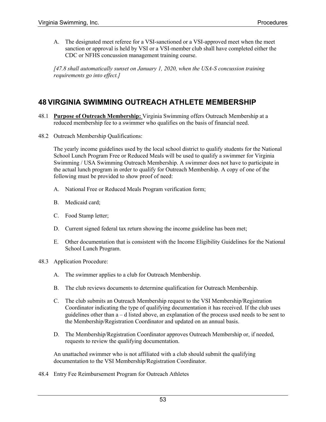A. The designated meet referee for a VSI-sanctioned or a VSI-approved meet when the meet sanction or approval is held by VSI or a VSI-member club shall have completed either the CDC or NFHS concussion management training course.

*[47.8 shall automatically sunset on January 1, 2020, when the USA-S concussion training requirements go into effect.]*

### **48 VIRGINIA SWIMMING OUTREACH ATHLETE MEMBERSHIP**

- 48.1 **Purpose of Outreach Membership:** Virginia Swimming offers Outreach Membership at a reduced membership fee to a swimmer who qualifies on the basis of financial need.
- 48.2 Outreach Membership Qualifications:

The yearly income guidelines used by the local school district to qualify students for the National School Lunch Program Free or Reduced Meals will be used to qualify a swimmer for Virginia Swimming / USA Swimming Outreach Membership. A swimmer does not have to participate in the actual lunch program in order to qualify for Outreach Membership. A copy of one of the following must be provided to show proof of need:

- A. National Free or Reduced Meals Program verification form;
- B. Medicaid card;
- C. Food Stamp letter;
- D. Current signed federal tax return showing the income guideline has been met;
- E. Other documentation that is consistent with the Income Eligibility Guidelines for the National School Lunch Program.
- 48.3 Application Procedure:
	- A. The swimmer applies to a club for Outreach Membership.
	- B. The club reviews documents to determine qualification for Outreach Membership.
	- C. The club submits an Outreach Membership request to the VSI Membership/Registration Coordinator indicating the type of qualifying documentation it has received. If the club uses guidelines other than a – d listed above, an explanation of the process used needs to be sent to the Membership/Registration Coordinator and updated on an annual basis.
	- D. The Membership/Registration Coordinator approves Outreach Membership or, if needed, requests to review the qualifying documentation.

An unattached swimmer who is not affiliated with a club should submit the qualifying documentation to the VSI Membership/Registration Coordinator.

48.4 Entry Fee Reimbursement Program for Outreach Athletes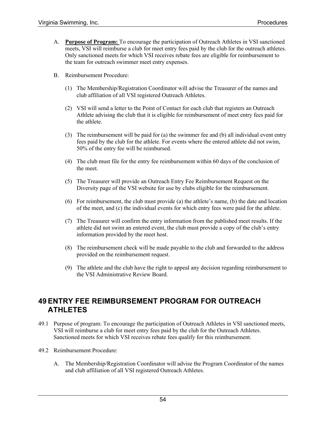- A. **Purpose of Program:** To encourage the participation of Outreach Athletes in VSI sanctioned meets, VSI will reimburse a club for meet entry fees paid by the club for the outreach athletes. Only sanctioned meets for which VSI receives rebate fees are eligible for reimbursement to the team for outreach swimmer meet entry expenses.
- B. Reimbursement Procedure:
	- (1) The Membership/Registration Coordinator will advise the Treasurer of the names and club affiliation of all VSI registered Outreach Athletes.
	- (2) VSI will send a letter to the Point of Contact for each club that registers an Outreach Athlete advising the club that it is eligible for reimbursement of meet entry fees paid for the athlete.
	- (3) The reimbursement will be paid for (a) the swimmer fee and (b) all individual event entry fees paid by the club for the athlete. For events where the entered athlete did not swim, 50% of the entry fee will be reimbursed.
	- (4) The club must file for the entry fee reimbursement within 60 days of the conclusion of the meet.
	- (5) The Treasurer will provide an Outreach Entry Fee Reimbursement Request on the Diversity page of the VSI website for use by clubs eligible for the reimbursement.
	- (6) For reimbursement, the club must provide (a) the athlete's name, (b) the date and location of the meet, and (c) the individual events for which entry fees were paid for the athlete.
	- (7) The Treasurer will confirm the entry information from the published meet results. If the athlete did not swim an entered event, the club must provide a copy of the club's entry information provided by the meet host.
	- (8) The reimbursement check will be made payable to the club and forwarded to the address provided on the reimbursement request.
	- (9) The athlete and the club have the right to appeal any decision regarding reimbursement to the VSI Administrative Review Board.

### **49 ENTRY FEE REIMBURSEMENT PROGRAM FOR OUTREACH ATHLETES**

- 49.1 Purpose of program: To encourage the participation of Outreach Athletes in VSI sanctioned meets, VSI will reimburse a club for meet entry fees paid by the club for the Outreach Athletes. Sanctioned meets for which VSI receives rebate fees qualify for this reimbursement.
- 49.2 Reimbursement Procedure:
	- A. The Membership/Registration Coordinator will advise the Program Coordinator of the names and club affiliation of all VSI registered Outreach Athletes.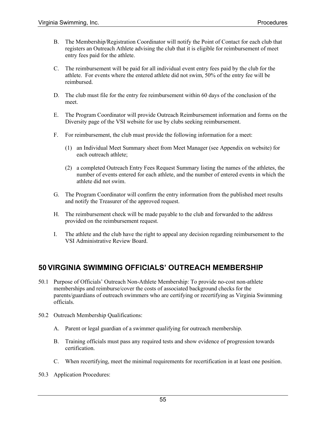- B. The Membership/Registration Coordinator will notify the Point of Contact for each club that registers an Outreach Athlete advising the club that it is eligible for reimbursement of meet entry fees paid for the athlete.
- C. The reimbursement will be paid for all individual event entry fees paid by the club for the athlete. For events where the entered athlete did not swim, 50% of the entry fee will be reimbursed.
- D. The club must file for the entry fee reimbursement within 60 days of the conclusion of the meet.
- E. The Program Coordinator will provide Outreach Reimbursement information and forms on the Diversity page of the VSI website for use by clubs seeking reimbursement.
- F. For reimbursement, the club must provide the following information for a meet:
	- (1) an Individual Meet Summary sheet from Meet Manager (see Appendix on website) for each outreach athlete;
	- (2) a completed Outreach Entry Fees Request Summary listing the names of the athletes, the number of events entered for each athlete, and the number of entered events in which the athlete did not swim.
- G. The Program Coordinator will confirm the entry information from the published meet results and notify the Treasurer of the approved request.
- H. The reimbursement check will be made payable to the club and forwarded to the address provided on the reimbursement request.
- I. The athlete and the club have the right to appeal any decision regarding reimbursement to the VSI Administrative Review Board.

# **50 VIRGINIA SWIMMING OFFICIALS' OUTREACH MEMBERSHIP**

- 50.1 Purpose of Officials' Outreach Non-Athlete Membership: To provide no-cost non-athlete memberships and reimburse/cover the costs of associated background checks for the parents/guardians of outreach swimmers who are certifying or recertifying as Virginia Swimming officials.
- 50.2 Outreach Membership Qualifications:
	- A. Parent or legal guardian of a swimmer qualifying for outreach membership.
	- B. Training officials must pass any required tests and show evidence of progression towards certification.
	- C. When recertifying, meet the minimal requirements for recertification in at least one position.
- 50.3 Application Procedures: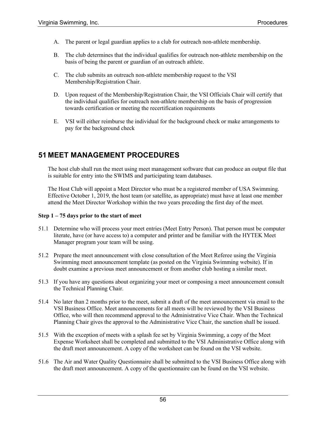- A. The parent or legal guardian applies to a club for outreach non-athlete membership.
- B. The club determines that the individual qualifies for outreach non-athlete membership on the basis of being the parent or guardian of an outreach athlete.
- C. The club submits an outreach non-athlete membership request to the VSI Membership/Registration Chair.
- D. Upon request of the Membership/Registration Chair, the VSI Officials Chair will certify that the individual qualifies for outreach non-athlete membership on the basis of progression towards certification or meeting the recertification requirements
- E. VSI will either reimburse the individual for the background check or make arrangements to pay for the background check

# **51 MEET MANAGEMENT PROCEDURES**

The host club shall run the meet using meet management software that can produce an output file that is suitable for entry into the SWIMS and participating team databases.

The Host Club will appoint a Meet Director who must be a registered member of USA Swimming. Effective October 1, 2019, the host team (or satellite, as appropriate) must have at least one member attend the Meet Director Workshop within the two years preceding the first day of the meet.

### **Step 1 – 75 days prior to the start of meet**

- 51.1 Determine who will process your meet entries (Meet Entry Person). That person must be computer literate, have (or have access to) a computer and printer and be familiar with the HYTEK Meet Manager program your team will be using.
- 51.2 Prepare the meet announcement with close consultation of the Meet Referee using the Virginia Swimming meet announcement template (as posted on the Virginia Swimming website). If in doubt examine a previous meet announcement or from another club hosting a similar meet.
- 51.3 If you have any questions about organizing your meet or composing a meet announcement consult the Technical Planning Chair.
- 51.4 No later than 2 months prior to the meet, submit a draft of the meet announcement via email to the VSI Business Office. Meet announcements for all meets will be reviewed by the VSI Business Office, who will then recommend approval to the Administrative Vice Chair. When the Technical Planning Chair gives the approval to the Administrative Vice Chair, the sanction shall be issued.
- 51.5 With the exception of meets with a splash fee set by Virginia Swimming, a copy of the Meet Expense Worksheet shall be completed and submitted to the VSI Administrative Office along with the draft meet announcement. A copy of the worksheet can be found on the VSI website.
- 51.6 The Air and Water Quality Questionnaire shall be submitted to the VSI Business Office along with the draft meet announcement. A copy of the questionnaire can be found on the VSI website.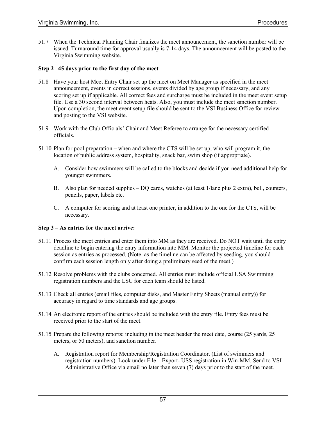51.7 When the Technical Planning Chair finalizes the meet announcement, the sanction number will be issued. Turnaround time for approval usually is 7-14 days. The announcement will be posted to the Virginia Swimming website.

### **Step 2 –45 days prior to the first day of the meet**

- 51.8 Have your host Meet Entry Chair set up the meet on Meet Manager as specified in the meet announcement, events in correct sessions, events divided by age group if necessary, and any scoring set up if applicable. All correct fees and surcharge must be included in the meet event setup file. Use a 30 second interval between heats. Also, you must include the meet sanction number. Upon completion, the meet event setup file should be sent to the VSI Business Office for review and posting to the VSI website.
- 51.9 Work with the Club Officials' Chair and Meet Referee to arrange for the necessary certified officials.
- 51.10 Plan for pool preparation when and where the CTS will be set up, who will program it, the location of public address system, hospitality, snack bar, swim shop (if appropriate).
	- A. Consider how swimmers will be called to the blocks and decide if you need additional help for younger swimmers.
	- B. Also plan for needed supplies DQ cards, watches (at least 1/lane plus 2 extra), bell, counters, pencils, paper, labels etc.
	- C. A computer for scoring and at least one printer, in addition to the one for the CTS, will be necessary.

#### **Step 3 – As entries for the meet arrive:**

- 51.11 Process the meet entries and enter them into MM as they are received. Do NOT wait until the entry deadline to begin entering the entry information into MM. Monitor the projected timeline for each session as entries as processed. (Note: as the timeline can be affected by seeding, you should confirm each session length only after doing a preliminary seed of the meet.)
- 51.12 Resolve problems with the clubs concerned. All entries must include official USA Swimming registration numbers and the LSC for each team should be listed.
- 51.13 Check all entries (email files, computer disks, and Master Entry Sheets (manual entry)) for accuracy in regard to time standards and age groups.
- 51.14 An electronic report of the entries should be included with the entry file. Entry fees must be received prior to the start of the meet.
- 51.15 Prepare the following reports: including in the meet header the meet date, course (25 yards, 25 meters, or 50 meters), and sanction number.
	- A. Registration report for Membership/Registration Coordinator. (List of swimmers and registration numbers). Look under File – Export- USS registration in Win-MM. Send to VSI Administrative Office via email no later than seven (7) days prior to the start of the meet.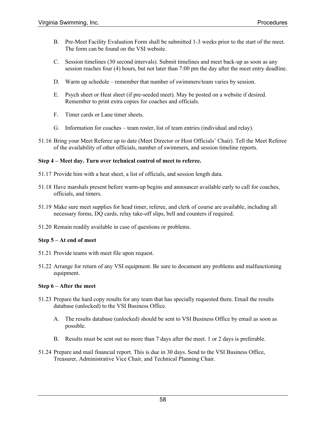- B. Pre-Meet Facility Evaluation Form shall be submitted 1-3 weeks prior to the start of the meet. The form can be found on the VSI website.
- C. Session timelines (30 second intervals). Submit timelines and meet back-up as soon as any session reaches four (4) hours, but not later than 7:00 pm the day after the meet entry deadline.
- D. Warm up schedule remember that number of swimmers/team varies by session.
- E. Psych sheet or Heat sheet (if pre-seeded meet). May be posted on a website if desired. Remember to print extra copies for coaches and officials.
- F. Timer cards or Lane timer sheets.
- G. Information for coaches team roster, list of team entries (individual and relay).
- 51.16 Bring your Meet Referee up to date (Meet Director or Host Officials' Chair). Tell the Meet Referee of the availability of other officials, number of swimmers, and session timeline reports.

### **Step 4 – Meet day. Turn over technical control of meet to referee.**

- 51.17 Provide him with a heat sheet, a list of officials, and session length data.
- 51.18 Have marshals present before warm-up begins and announcer available early to call for coaches, officials, and timers.
- 51.19 Make sure meet supplies for head timer, referee, and clerk of course are available, including all necessary forms, DQ cards, relay take-off slips, bell and counters if required.
- 51.20 Remain readily available in case of questions or problems.

#### **Step 5 – At end of meet**

- 51.21 Provide teams with meet file upon request.
- 51.22 Arrange for return of any VSI equipment. Be sure to document any problems and malfunctioning equipment.

#### **Step 6 – After the meet**

- 51.23 Prepare the hard copy results for any team that has specially requested them. Email the results database (unlocked) to the VSI Business Office.
	- A. The results database (unlocked) should be sent to VSI Business Office by email as soon as possible.
	- B. Results must be sent out no more than 7 days after the meet. 1 or 2 days is preferable.
- 51.24 Prepare and mail financial report. This is due in 30 days. Send to the VSI Business Office, Treasurer, Administrative Vice Chair, and Technical Planning Chair.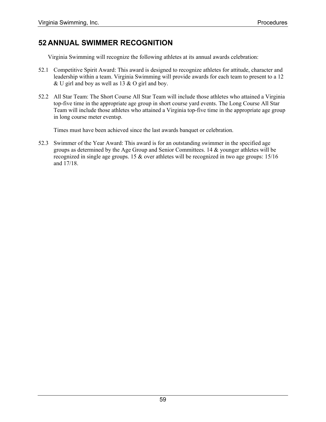# **52 ANNUAL SWIMMER RECOGNITION**

Virginia Swimming will recognize the following athletes at its annual awards celebration:

- 52.1 Competitive Spirit Award: This award is designed to recognize athletes for attitude, character and leadership within a team. Virginia Swimming will provide awards for each team to present to a 12 & U girl and boy as well as 13 & O girl and boy.
- 52.2 All Star Team: The Short Course All Star Team will include those athletes who attained a Virginia top-five time in the appropriate age group in short course yard events. The Long Course All Star Team will include those athletes who attained a Virginia top-five time in the appropriate age group in long course meter eventsp.

Times must have been achieved since the last awards banquet or celebration.

52.3 Swimmer of the Year Award: This award is for an outstanding swimmer in the specified age groups as determined by the Age Group and Senior Committees. 14 & younger athletes will be recognized in single age groups. 15 & over athletes will be recognized in two age groups: 15/16 and 17/18.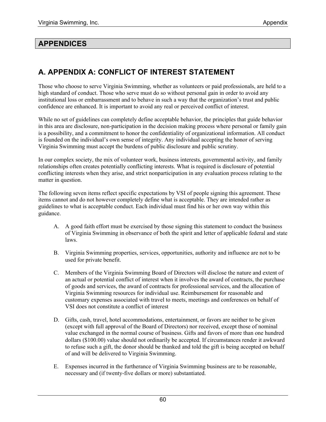### **APPENDICES**

# **A. APPENDIX A: CONFLICT OF INTEREST STATEMENT**

Those who choose to serve Virginia Swimming, whether as volunteers or paid professionals, are held to a high standard of conduct. Those who serve must do so without personal gain in order to avoid any institutional loss or embarrassment and to behave in such a way that the organization's trust and public confidence are enhanced. It is important to avoid any real or perceived conflict of interest.

While no set of guidelines can completely define acceptable behavior, the principles that guide behavior in this area are disclosure, non-participation in the decision making process where personal or family gain is a possibility, and a commitment to honor the confidentiality of organizational information. All conduct is founded on the individual's own sense of integrity. Any individual accepting the honor of serving Virginia Swimming must accept the burdens of public disclosure and public scrutiny.

In our complex society, the mix of volunteer work, business interests, governmental activity, and family relationships often creates potentially conflicting interests. What is required is disclosure of potential conflicting interests when they arise, and strict nonparticipation in any evaluation process relating to the matter in question.

The following seven items reflect specific expectations by VSI of people signing this agreement. These items cannot and do not however completely define what is acceptable. They are intended rather as guidelines to what is acceptable conduct. Each individual must find his or her own way within this guidance.

- A. A good faith effort must be exercised by those signing this statement to conduct the business of Virginia Swimming in observance of both the spirit and letter of applicable federal and state laws.
- B. Virginia Swimming properties, services, opportunities, authority and influence are not to be used for private benefit.
- C. Members of the Virginia Swimming Board of Directors will disclose the nature and extent of an actual or potential conflict of interest when it involves the award of contracts, the purchase of goods and services, the award of contracts for professional services, and the allocation of Virginia Swimming resources for individual use. Reimbursement for reasonable and customary expenses associated with travel to meets, meetings and conferences on behalf of VSI does not constitute a conflict of interest
- D. Gifts, cash, travel, hotel accommodations, entertainment, or favors are neither to be given (except with full approval of the Board of Directors) nor received, except those of nominal value exchanged in the normal course of business. Gifts and favors of more than one hundred dollars (\$100.00) value should not ordinarily be accepted. If circumstances render it awkward to refuse such a gift, the donor should be thanked and told the gift is being accepted on behalf of and will be delivered to Virginia Swimming.
- E. Expenses incurred in the furtherance of Virginia Swimming business are to be reasonable, necessary and (if twenty-five dollars or more) substantiated.